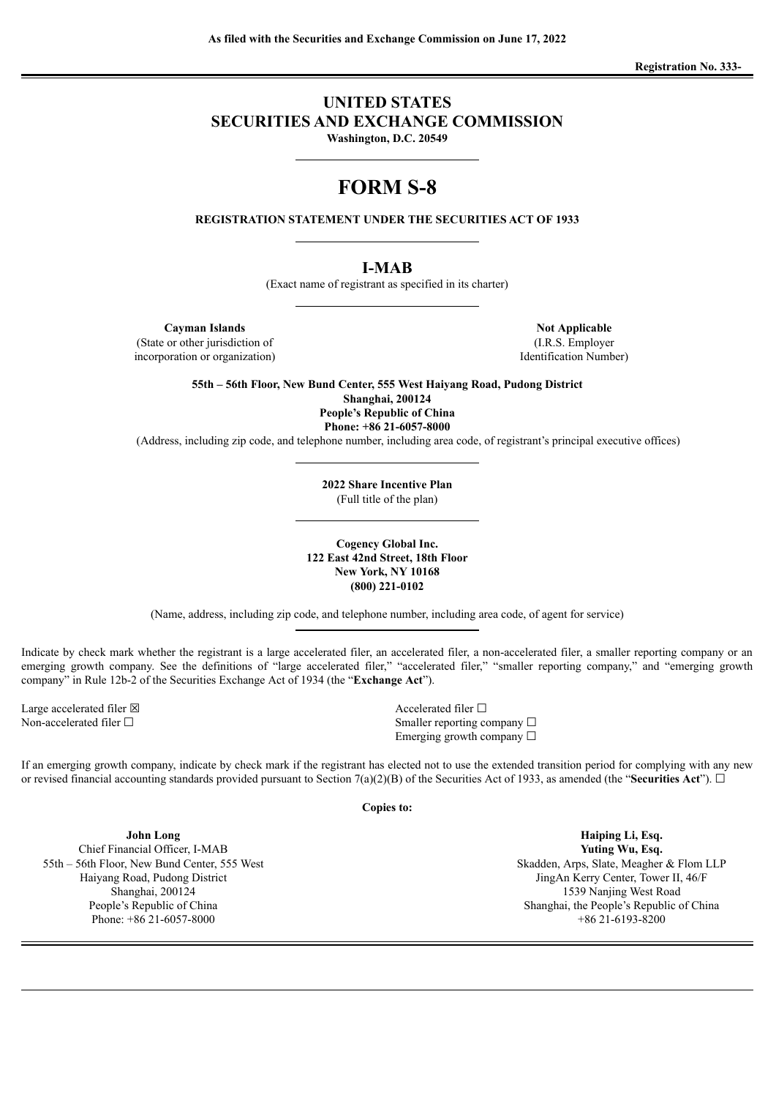**Registration No. 333-**

# **UNITED STATES SECURITIES AND EXCHANGE COMMISSION Washington, D.C. 20549**

# **FORM S-8**

**REGISTRATION STATEMENT UNDER THE SECURITIES ACT OF 1933**

# **I-MAB**

(Exact name of registrant as specified in its charter)

**Cayman Islands Not Applicable Not Applicable** (State or other jurisdiction of (I.R.S. Employer

incorporation or organization) Identification Number)

**55th – 56th Floor, New Bund Center, 555 West Haiyang Road, Pudong District Shanghai, 200124 People's Republic of China Phone: +86 21-6057-8000**

(Address, including zip code, and telephone number, including area code, of registrant's principal executive offices)

**2022 Share Incentive Plan** (Full title of the plan)

**Cogency Global Inc. 122 East 42nd Street, 18th Floor New York, NY 10168 (800) 221-0102**

(Name, address, including zip code, and telephone number, including area code, of agent for service)

Indicate by check mark whether the registrant is a large accelerated filer, an accelerated filer, a non-accelerated filer, a smaller reporting company or an emerging growth company. See the definitions of "large accelerated filer," "accelerated filer," "smaller reporting company," and "emerging growth company" in Rule 12b-2 of the Securities Exchange Act of 1934 (the "**Exchange Act**").

Large accelerated filer ⊠<br>
Non-accelerated filer □<br>
Smaller renorting communications of the Smaller second of the Smaller renorting communications of the Smaller second of the Smaller renormalized filer □

Smaller reporting company  $\Box$ Emerging growth company □

If an emerging growth company, indicate by check mark if the registrant has elected not to use the extended transition period for complying with any new or revised financial accounting standards provided pursuant to Section 7(a)(2)(B) of the Securities Act of 1933, as amended (the "**Securities Act**").  $\Box$ 

**Copies to:**

**John Long** Chief Financial Officer, I-MAB 55th – 56th Floor, New Bund Center, 555 West Haiyang Road, Pudong District Shanghai, 200124 People's Republic of China Phone: +86 21-6057-8000

**Haiping Li, Esq. Yuting Wu, Esq.** Skadden, Arps, Slate, Meagher & Flom LLP JingAn Kerry Center, Tower II, 46/F 1539 Nanjing West Road Shanghai, the People's Republic of China +86 21-6193-8200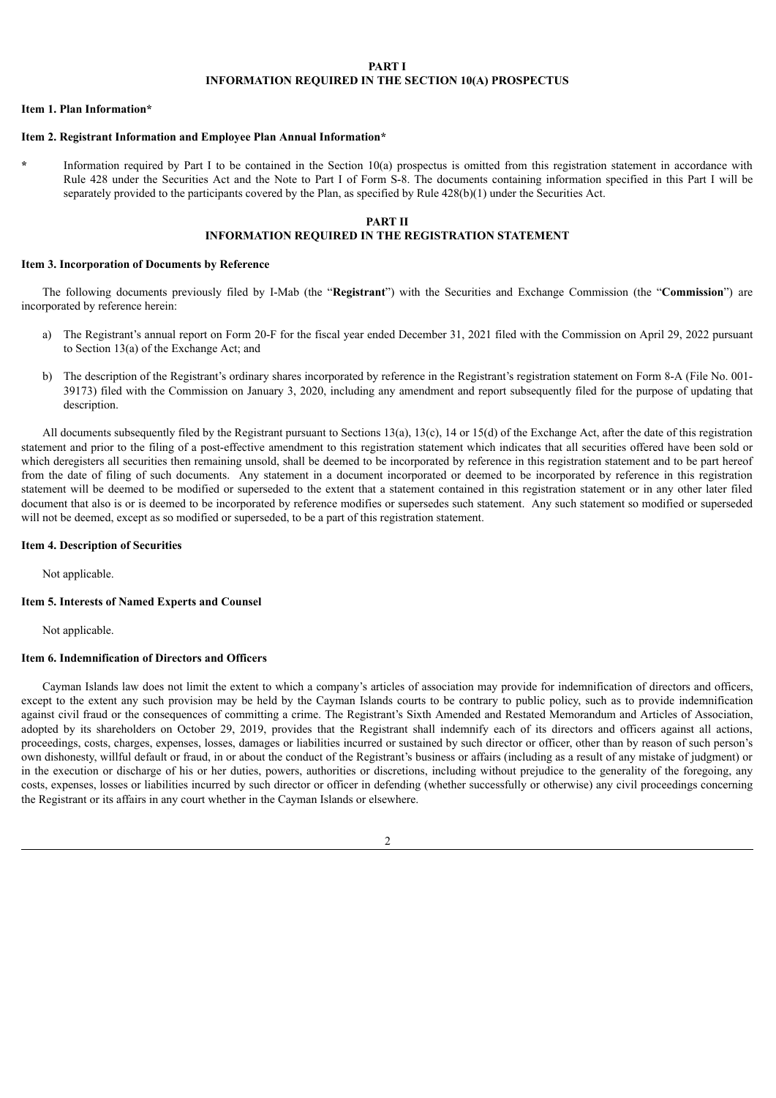#### **PART I INFORMATION REQUIRED IN THE SECTION 10(A) PROSPECTUS**

#### **Item 1. Plan Information\***

#### **Item 2. Registrant Information and Employee Plan Annual Information\***

**\*** Information required by Part I to be contained in the Section 10(a) prospectus is omitted from this registration statement in accordance with Rule 428 under the Securities Act and the Note to Part I of Form S-8. The documents containing information specified in this Part I will be separately provided to the participants covered by the Plan, as specified by Rule 428(b)(1) under the Securities Act.

#### **PART II**

### **INFORMATION REQUIRED IN THE REGISTRATION STATEMENT**

#### **Item 3. Incorporation of Documents by Reference**

The following documents previously filed by I-Mab (the "**Registrant**") with the Securities and Exchange Commission (the "**Commission**") are incorporated by reference herein:

- a) The Registrant's annual report on Form 20-F for the fiscal year ended December 31, 2021 filed with the Commission on April 29, 2022 pursuant to Section 13(a) of the Exchange Act; and
- b) The description of the Registrant's ordinary shares incorporated by reference in the Registrant's registration statement on Form 8-A (File No. 001-39173) filed with the Commission on January 3, 2020, including any amendment and report subsequently filed for the purpose of updating that description.

All documents subsequently filed by the Registrant pursuant to Sections 13(a), 13(c), 14 or 15(d) of the Exchange Act, after the date of this registration statement and prior to the filing of a post-effective amendment to this registration statement which indicates that all securities offered have been sold or which deregisters all securities then remaining unsold, shall be deemed to be incorporated by reference in this registration statement and to be part hereof from the date of filing of such documents. Any statement in a document incorporated or deemed to be incorporated by reference in this registration statement will be deemed to be modified or superseded to the extent that a statement contained in this registration statement or in any other later filed document that also is or is deemed to be incorporated by reference modifies or supersedes such statement. Any such statement so modified or superseded will not be deemed, except as so modified or superseded, to be a part of this registration statement.

#### **Item 4. Description of Securities**

Not applicable.

#### **Item 5. Interests of Named Experts and Counsel**

Not applicable.

#### **Item 6. Indemnification of Directors and Officers**

Cayman Islands law does not limit the extent to which a company's articles of association may provide for indemnification of directors and officers, except to the extent any such provision may be held by the Cayman Islands courts to be contrary to public policy, such as to provide indemnification against civil fraud or the consequences of committing a crime. The Registrant's Sixth Amended and Restated Memorandum and Articles of Association, adopted by its shareholders on October 29, 2019, provides that the Registrant shall indemnify each of its directors and officers against all actions, proceedings, costs, charges, expenses, losses, damages or liabilities incurred or sustained by such director or officer, other than by reason of such person's own dishonesty, willful default or fraud, in or about the conduct of the Registrant's business or affairs (including as a result of any mistake of judgment) or in the execution or discharge of his or her duties, powers, authorities or discretions, including without prejudice to the generality of the foregoing, any costs, expenses, losses or liabilities incurred by such director or officer in defending (whether successfully or otherwise) any civil proceedings concerning the Registrant or its affairs in any court whether in the Cayman Islands or elsewhere.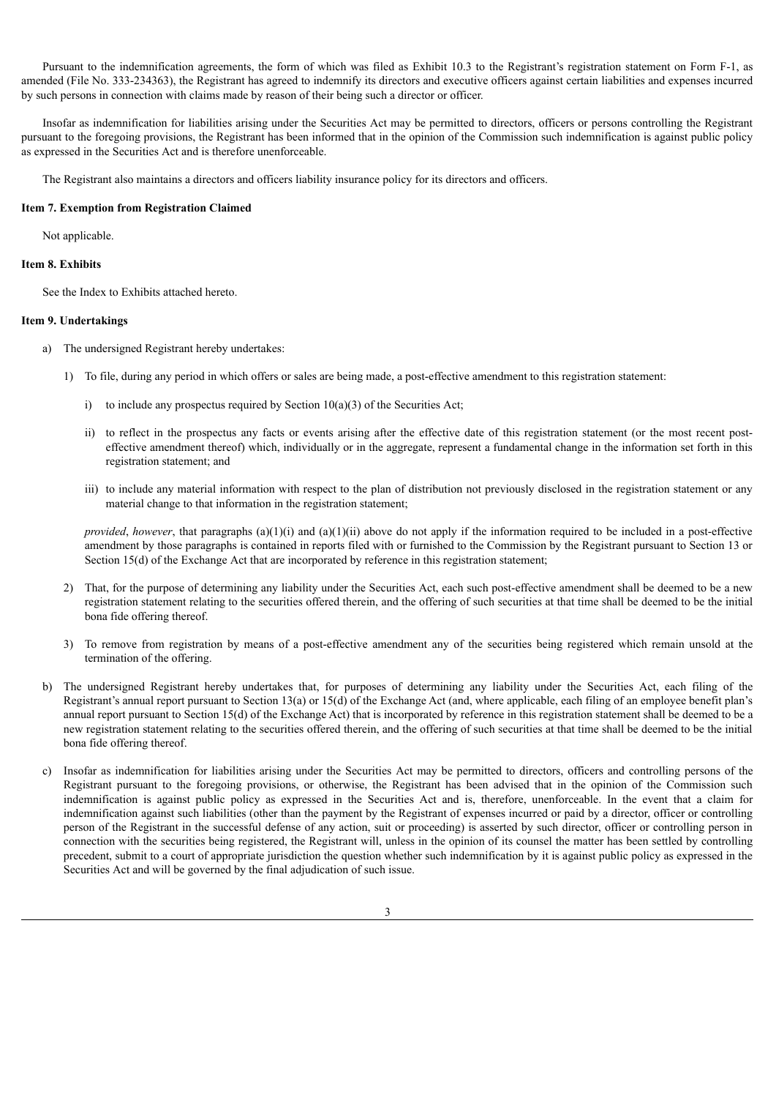Pursuant to the indemnification agreements, the form of which was filed as Exhibit 10.3 to the Registrant's registration statement on Form F-1, as amended (File No. 333-234363), the Registrant has agreed to indemnify its directors and executive officers against certain liabilities and expenses incurred by such persons in connection with claims made by reason of their being such a director or officer.

Insofar as indemnification for liabilities arising under the Securities Act may be permitted to directors, officers or persons controlling the Registrant pursuant to the foregoing provisions, the Registrant has been informed that in the opinion of the Commission such indemnification is against public policy as expressed in the Securities Act and is therefore unenforceable.

The Registrant also maintains a directors and officers liability insurance policy for its directors and officers.

#### **Item 7. Exemption from Registration Claimed**

Not applicable.

#### **Item 8. Exhibits**

See the Index to Exhibits attached hereto.

#### **Item 9. Undertakings**

- a) The undersigned Registrant hereby undertakes:
	- 1) To file, during any period in which offers or sales are being made, a post-effective amendment to this registration statement:
		- i) to include any prospectus required by Section  $10(a)(3)$  of the Securities Act;
		- ii) to reflect in the prospectus any facts or events arising after the effective date of this registration statement (or the most recent posteffective amendment thereof) which, individually or in the aggregate, represent a fundamental change in the information set forth in this registration statement; and
		- iii) to include any material information with respect to the plan of distribution not previously disclosed in the registration statement or any material change to that information in the registration statement;

*provided*, *however*, that paragraphs (a)(1)(i) and (a)(1)(ii) above do not apply if the information required to be included in a post-effective amendment by those paragraphs is contained in reports filed with or furnished to the Commission by the Registrant pursuant to Section 13 or Section 15(d) of the Exchange Act that are incorporated by reference in this registration statement;

- 2) That, for the purpose of determining any liability under the Securities Act, each such post-effective amendment shall be deemed to be a new registration statement relating to the securities offered therein, and the offering of such securities at that time shall be deemed to be the initial bona fide offering thereof.
- 3) To remove from registration by means of a post-effective amendment any of the securities being registered which remain unsold at the termination of the offering.
- b) The undersigned Registrant hereby undertakes that, for purposes of determining any liability under the Securities Act, each filing of the Registrant's annual report pursuant to Section 13(a) or 15(d) of the Exchange Act (and, where applicable, each filing of an employee benefit plan's annual report pursuant to Section 15(d) of the Exchange Act) that is incorporated by reference in this registration statement shall be deemed to be a new registration statement relating to the securities offered therein, and the offering of such securities at that time shall be deemed to be the initial bona fide offering thereof.
- c) Insofar as indemnification for liabilities arising under the Securities Act may be permitted to directors, officers and controlling persons of the Registrant pursuant to the foregoing provisions, or otherwise, the Registrant has been advised that in the opinion of the Commission such indemnification is against public policy as expressed in the Securities Act and is, therefore, unenforceable. In the event that a claim for indemnification against such liabilities (other than the payment by the Registrant of expenses incurred or paid by a director, officer or controlling person of the Registrant in the successful defense of any action, suit or proceeding) is asserted by such director, officer or controlling person in connection with the securities being registered, the Registrant will, unless in the opinion of its counsel the matter has been settled by controlling precedent, submit to a court of appropriate jurisdiction the question whether such indemnification by it is against public policy as expressed in the Securities Act and will be governed by the final adjudication of such issue.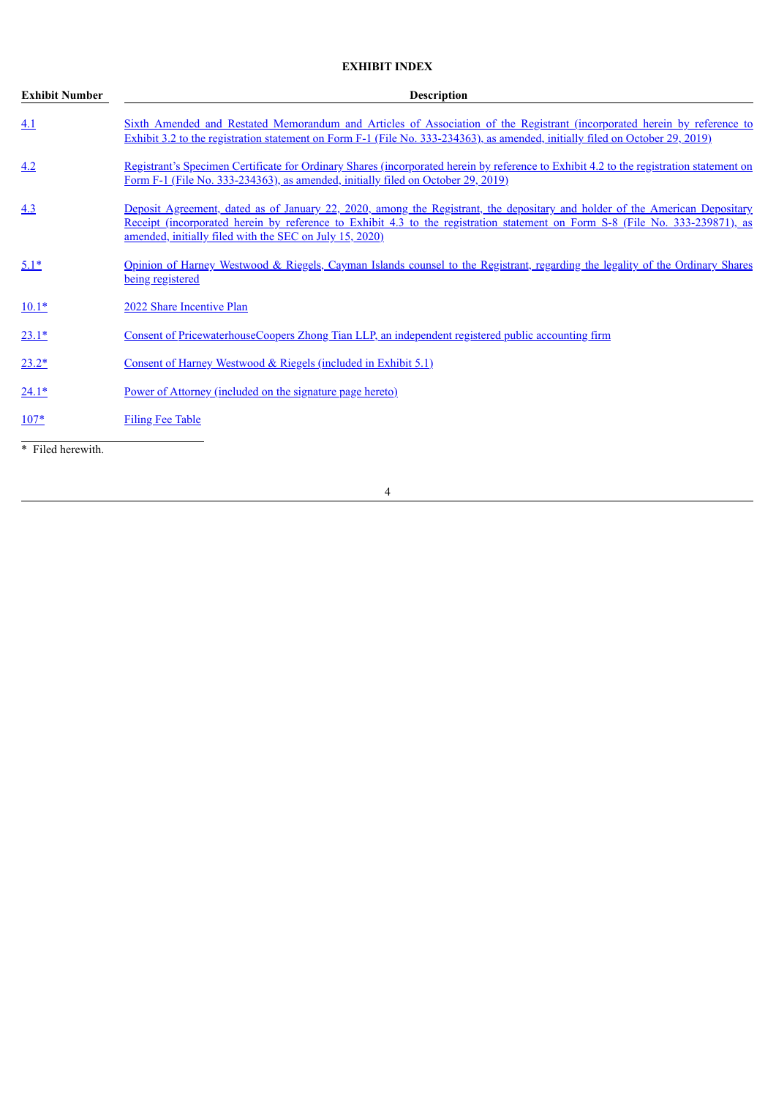# **EXHIBIT INDEX**

| <b>Exhibit Number</b> | <b>Description</b>                                                                                                                                                                                                                                                                                                            |  |  |  |  |  |  |  |
|-----------------------|-------------------------------------------------------------------------------------------------------------------------------------------------------------------------------------------------------------------------------------------------------------------------------------------------------------------------------|--|--|--|--|--|--|--|
| 4.1                   | Sixth Amended and Restated Memorandum and Articles of Association of the Registrant (incorporated herein by reference to<br>Exhibit 3.2 to the registration statement on Form F-1 (File No. 333-234363), as amended, initially filed on October 29, 2019)                                                                     |  |  |  |  |  |  |  |
| 4.2                   | Registrant's Specimen Certificate for Ordinary Shares (incorporated herein by reference to Exhibit 4.2 to the registration statement on<br>Form F-1 (File No. 333-234363), as amended, initially filed on October 29, 2019)                                                                                                   |  |  |  |  |  |  |  |
| 4.3                   | <u>Deposit Agreement, dated as of January 22, 2020, among the Registrant, the depositary and holder of the American Depositary</u><br>Receipt (incorporated herein by reference to Exhibit 4.3 to the registration statement on Form S-8 (File No. 333-239871), as<br>amended, initially filed with the SEC on July 15, 2020) |  |  |  |  |  |  |  |
| $5.1*$                | Opinion of Harney Westwood & Riegels, Cayman Islands counsel to the Registrant, regarding the legality of the Ordinary Shares<br>being registered                                                                                                                                                                             |  |  |  |  |  |  |  |
| $10.1*$               | 2022 Share Incentive Plan                                                                                                                                                                                                                                                                                                     |  |  |  |  |  |  |  |
| $23.1*$               | Consent of PricewaterhouseCoopers Zhong Tian LLP, an independent registered public accounting firm                                                                                                                                                                                                                            |  |  |  |  |  |  |  |
| $23.2*$               | Consent of Harney Westwood & Riegels (included in Exhibit 5.1)                                                                                                                                                                                                                                                                |  |  |  |  |  |  |  |
| $24.1*$               | Power of Attorney (included on the signature page hereto)                                                                                                                                                                                                                                                                     |  |  |  |  |  |  |  |
| $107*$                | <b>Filing Fee Table</b>                                                                                                                                                                                                                                                                                                       |  |  |  |  |  |  |  |
| * Filed herewith.     |                                                                                                                                                                                                                                                                                                                               |  |  |  |  |  |  |  |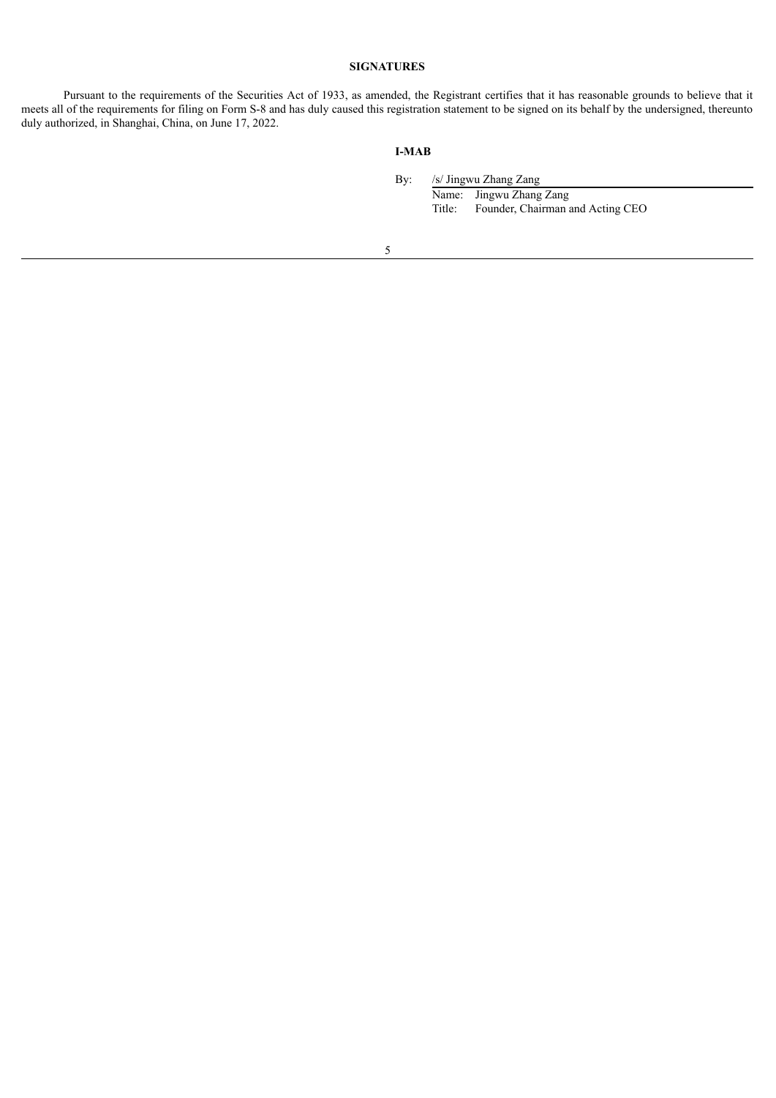#### **SIGNATURES**

<span id="page-4-0"></span>Pursuant to the requirements of the Securities Act of 1933, as amended, the Registrant certifies that it has reasonable grounds to believe that it meets all of the requirements for filing on Form S-8 and has duly caused this registration statement to be signed on its behalf by the undersigned, thereunto duly authorized, in Shanghai, China, on June 17, 2022.

# **I-MAB**

By: /s/ Jingwu Zhang Zang Name: Jingwu Zhang Zang<br>Title: Founder, Chairman a Founder, Chairman and Acting CEO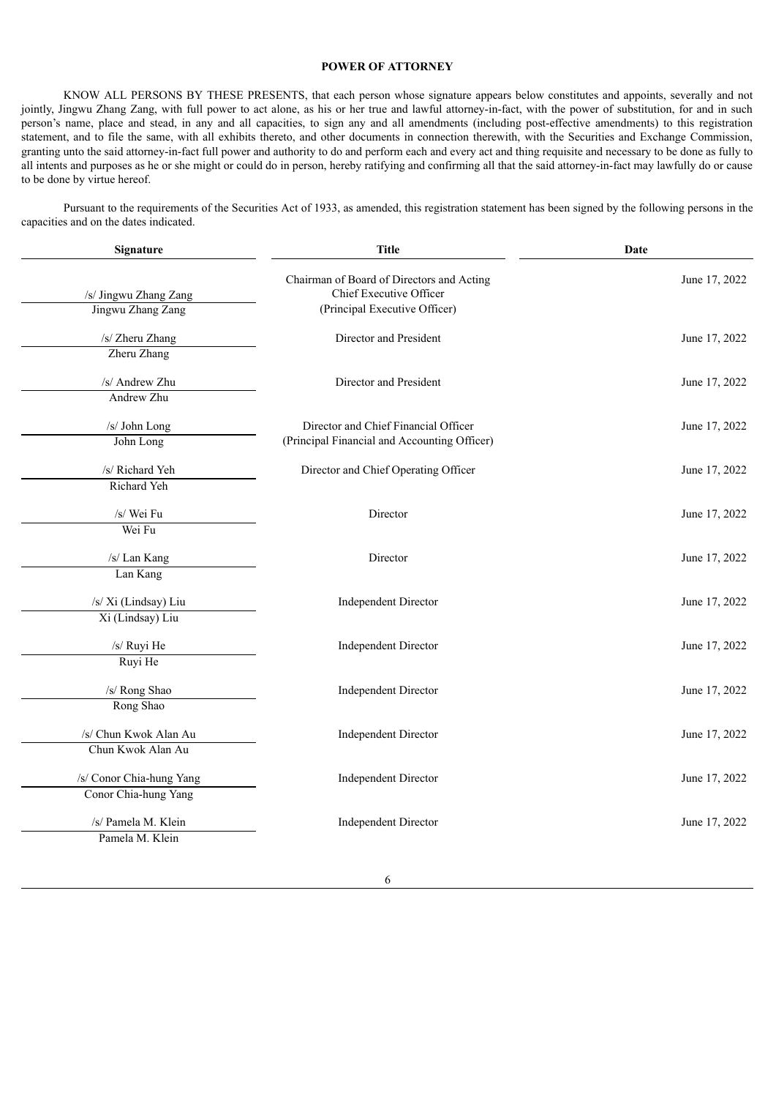#### **POWER OF ATTORNEY**

KNOW ALL PERSONS BY THESE PRESENTS, that each person whose signature appears below constitutes and appoints, severally and not jointly, Jingwu Zhang Zang, with full power to act alone, as his or her true and lawful attorney-in-fact, with the power of substitution, for and in such person's name, place and stead, in any and all capacities, to sign any and all amendments (including post-effective amendments) to this registration statement, and to file the same, with all exhibits thereto, and other documents in connection therewith, with the Securities and Exchange Commission, granting unto the said attorney-in-fact full power and authority to do and perform each and every act and thing requisite and necessary to be done as fully to all intents and purposes as he or she might or could do in person, hereby ratifying and confirming all that the said attorney-in-fact may lawfully do or cause to be done by virtue hereof.

Pursuant to the requirements of the Securities Act of 1933, as amended, this registration statement has been signed by the following persons in the capacities and on the dates indicated.

| Signature                | <b>Title</b>                                                         | Date          |  |  |
|--------------------------|----------------------------------------------------------------------|---------------|--|--|
| /s/ Jingwu Zhang Zang    | Chairman of Board of Directors and Acting<br>Chief Executive Officer | June 17, 2022 |  |  |
| Jingwu Zhang Zang        | (Principal Executive Officer)                                        |               |  |  |
| /s/ Zheru Zhang          | Director and President                                               | June 17, 2022 |  |  |
| Zheru Zhang              |                                                                      |               |  |  |
| /s/ Andrew Zhu           | Director and President                                               | June 17, 2022 |  |  |
| Andrew Zhu               |                                                                      |               |  |  |
| /s/ John Long            | Director and Chief Financial Officer                                 | June 17, 2022 |  |  |
| John Long                | (Principal Financial and Accounting Officer)                         |               |  |  |
| /s/ Richard Yeh          | Director and Chief Operating Officer                                 | June 17, 2022 |  |  |
| Richard Yeh              |                                                                      |               |  |  |
| /s/ Wei Fu               | Director                                                             | June 17, 2022 |  |  |
| Wei Fu                   |                                                                      |               |  |  |
| /s/ Lan Kang             | Director                                                             | June 17, 2022 |  |  |
| Lan Kang                 |                                                                      |               |  |  |
| /s/ Xi (Lindsay) Liu     | Independent Director                                                 | June 17, 2022 |  |  |
| Xi (Lindsay) Liu         |                                                                      |               |  |  |
| /s/ Ruyi He              | <b>Independent Director</b>                                          | June 17, 2022 |  |  |
| Ruyi He                  |                                                                      |               |  |  |
| /s/ Rong Shao            | <b>Independent Director</b>                                          | June 17, 2022 |  |  |
| Rong Shao                |                                                                      |               |  |  |
| /s/ Chun Kwok Alan Au    | Independent Director                                                 | June 17, 2022 |  |  |
| Chun Kwok Alan Au        |                                                                      |               |  |  |
| /s/ Conor Chia-hung Yang | <b>Independent Director</b>                                          | June 17, 2022 |  |  |
| Conor Chia-hung Yang     |                                                                      |               |  |  |
| /s/ Pamela M. Klein      | <b>Independent Director</b>                                          | June 17, 2022 |  |  |
| Pamela M. Klein          |                                                                      |               |  |  |
|                          |                                                                      |               |  |  |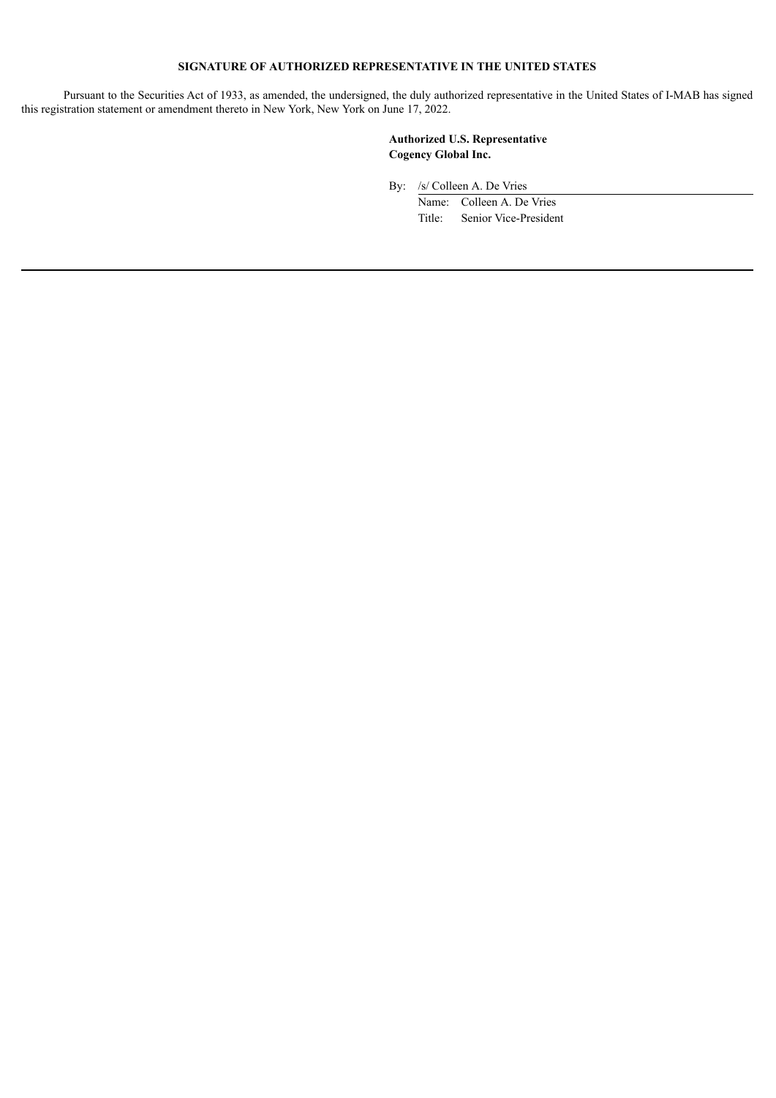# **SIGNATURE OF AUTHORIZED REPRESENTATIVE IN THE UNITED STATES**

Pursuant to the Securities Act of 1933, as amended, the undersigned, the duly authorized representative in the United States of I-MAB has signed this registration statement or amendment thereto in New York, New York on June 17, 2022.

> **Authorized U.S. Representative Cogency Global Inc.**

By: /s/ Colleen A. De Vries

Name: Colleen A. De Vries Title: Senior Vice-President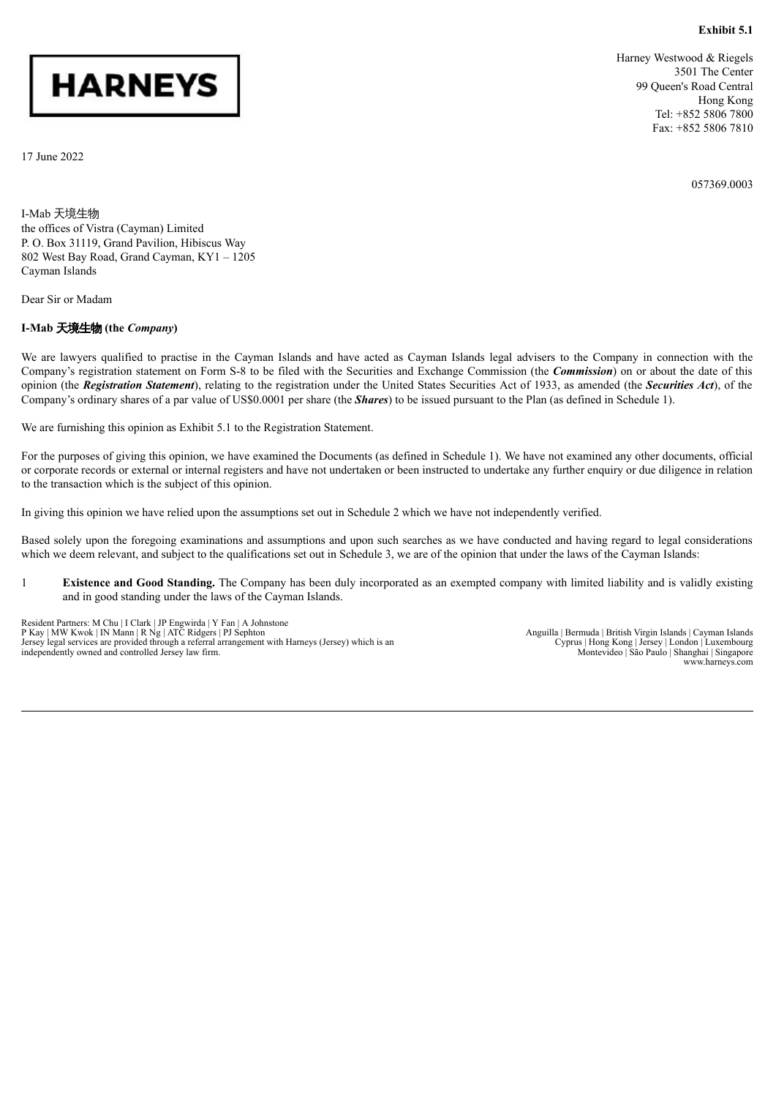**Exhibit 5.1**

# <span id="page-7-0"></span>**HARNEYS**

17 June 2022

Harney Westwood & Riegels 3501 The Center 99 Queen's Road Central Hong Kong Tel: +852 5806 7800 Fax: +852 5806 7810

057369.0003

I-Mab 天境生物 the offices of Vistra (Cayman) Limited P. O. Box 31119, Grand Pavilion, Hibiscus Way 802 West Bay Road, Grand Cayman, KY1 – 1205 Cayman Islands

Dear Sir or Madam

#### **I-Mab** 天境生物 **(the** *Company***)**

We are lawyers qualified to practise in the Cayman Islands and have acted as Cayman Islands legal advisers to the Company in connection with the Company's registration statement on Form S-8 to be filed with the Securities and Exchange Commission (the *Commission*) on or about the date of this opinion (the *Registration Statement*), relating to the registration under the United States Securities Act of 1933, as amended (the *Securities Act*), of the Company's ordinary shares of a par value of US\$0.0001 per share (the *Shares*) to be issued pursuant to the Plan (as defined in Schedule 1).

We are furnishing this opinion as Exhibit 5.1 to the Registration Statement.

For the purposes of giving this opinion, we have examined the Documents (as defined in Schedule 1). We have not examined any other documents, official or corporate records or external or internal registers and have not undertaken or been instructed to undertake any further enquiry or due diligence in relation to the transaction which is the subject of this opinion.

In giving this opinion we have relied upon the assumptions set out in Schedule 2 which we have not independently verified.

Based solely upon the foregoing examinations and assumptions and upon such searches as we have conducted and having regard to legal considerations which we deem relevant, and subject to the qualifications set out in Schedule 3, we are of the opinion that under the laws of the Cayman Islands:

1 **Existence and Good Standing.** The Company has been duly incorporated as an exempted company with limited liability and is validly existing and in good standing under the laws of the Cayman Islands.

Resident Partners: M Chu | I Clark | JP Engwirda | Y Fan | A Johnstone P Kay | MW Kwok | IN Mann | R Ng | ATC Ridgers | PJ Sephton Jersey legal services are provided through a referral arrangement with Harneys (Jersey) which is an independently owned and controlled Jersey law firm.

Anguilla | Bermuda | British Virgin Islands | Cayman Islands Cyprus | Hong Kong | Jersey | London | Luxembourg Montevideo | São Paulo | Shanghai | Singapore www.harneys.com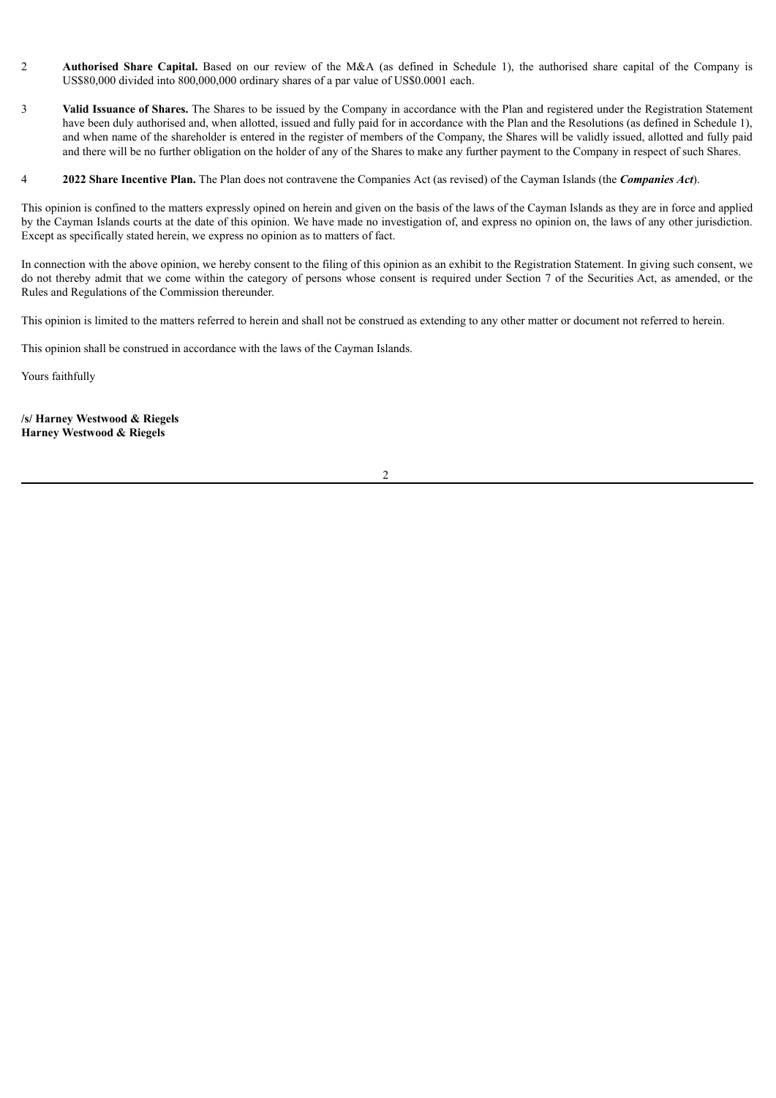- 2 **Authorised Share Capital.** Based on our review of the M&A (as defined in Schedule 1), the authorised share capital of the Company is US\$80,000 divided into 800,000,000 ordinary shares of a par value of US\$0.0001 each.
- 3 **Valid Issuance of Shares.** The Shares to be issued by the Company in accordance with the Plan and registered under the Registration Statement have been duly authorised and, when allotted, issued and fully paid for in accordance with the Plan and the Resolutions (as defined in Schedule 1), and when name of the shareholder is entered in the register of members of the Company, the Shares will be validly issued, allotted and fully paid and there will be no further obligation on the holder of any of the Shares to make any further payment to the Company in respect of such Shares.
- 4 **2022 Share Incentive Plan.** The Plan does not contravene the Companies Act (as revised) of the Cayman Islands (the *Companies Act*).

This opinion is confined to the matters expressly opined on herein and given on the basis of the laws of the Cayman Islands as they are in force and applied by the Cayman Islands courts at the date of this opinion. We have made no investigation of, and express no opinion on, the laws of any other jurisdiction. Except as specifically stated herein, we express no opinion as to matters of fact.

In connection with the above opinion, we hereby consent to the filing of this opinion as an exhibit to the Registration Statement. In giving such consent, we do not thereby admit that we come within the category of persons whose consent is required under Section 7 of the Securities Act, as amended, or the Rules and Regulations of the Commission thereunder.

This opinion is limited to the matters referred to herein and shall not be construed as extending to any other matter or document not referred to herein.

This opinion shall be construed in accordance with the laws of the Cayman Islands.

Yours faithfully

**/s/ Harney Westwood & Riegels Harney Westwood & Riegels**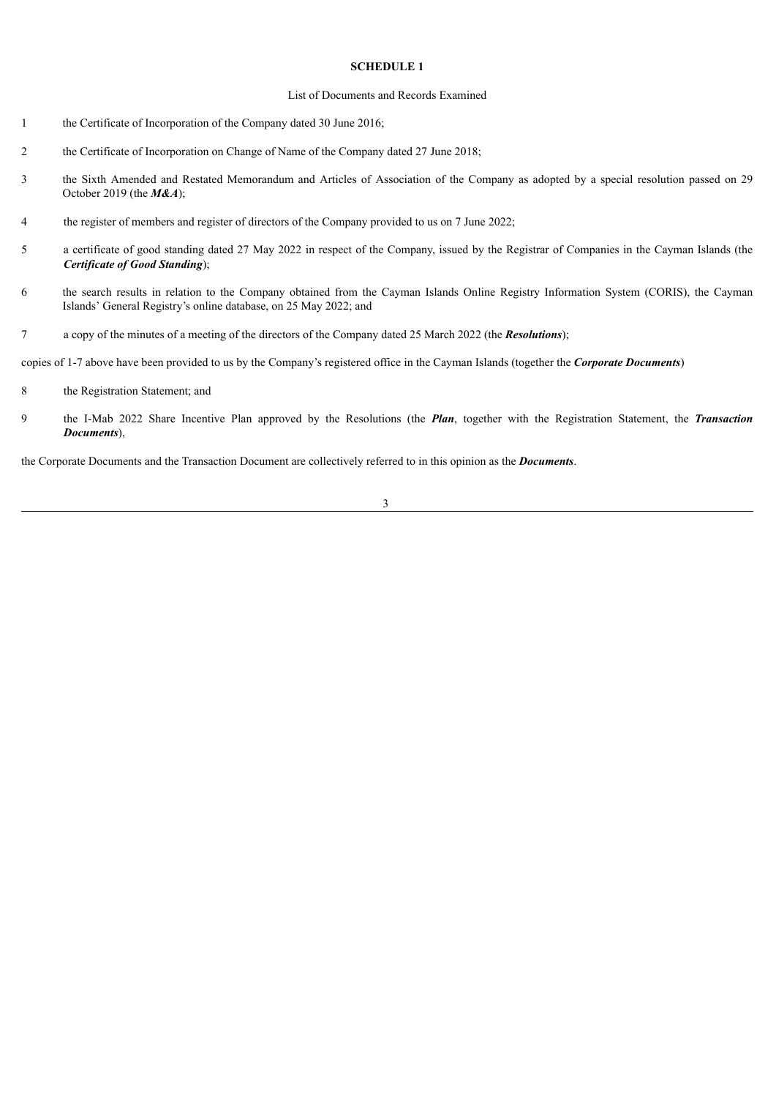#### **SCHEDULE 1**

#### List of Documents and Records Examined

- 1 the Certificate of Incorporation of the Company dated 30 June 2016;
- 2 the Certificate of Incorporation on Change of Name of the Company dated 27 June 2018;
- 3 the Sixth Amended and Restated Memorandum and Articles of Association of the Company as adopted by a special resolution passed on 29 October 2019 (the *M&A*);
- 4 the register of members and register of directors of the Company provided to us on 7 June 2022;
- 5 a certificate of good standing dated 27 May 2022 in respect of the Company, issued by the Registrar of Companies in the Cayman Islands (the *Certificate of Good Standing*);
- 6 the search results in relation to the Company obtained from the Cayman Islands Online Registry Information System (CORIS), the Cayman Islands' General Registry's online database, on 25 May 2022; and
- 7 a copy of the minutes of a meeting of the directors of the Company dated 25 March 2022 (the *Resolutions*);

copies of 1-7 above have been provided to us by the Company's registered office in the Cayman Islands (together the *Corporate Documents*)

- 8 the Registration Statement; and
- 9 the I-Mab 2022 Share Incentive Plan approved by the Resolutions (the *Plan*, together with the Registration Statement, the *Transaction Documents*),

the Corporate Documents and the Transaction Document are collectively referred to in this opinion as the *Documents*.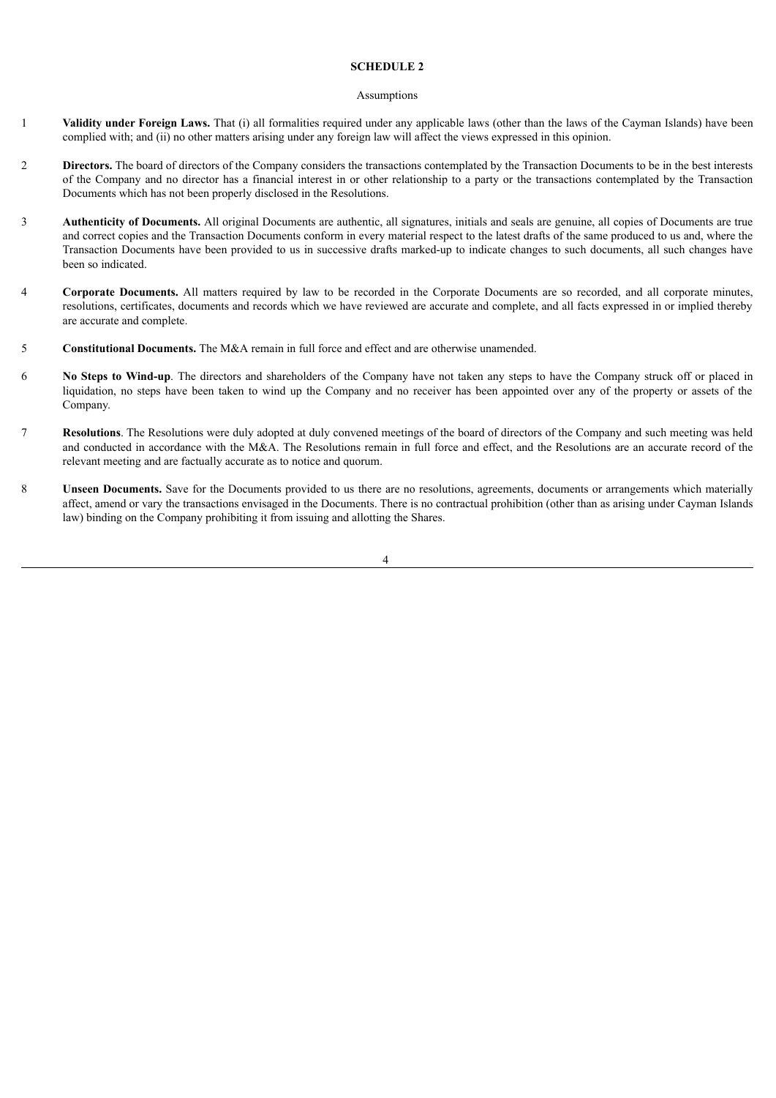#### **SCHEDULE 2**

#### Assumptions

- 1 **Validity under Foreign Laws.** That (i) all formalities required under any applicable laws (other than the laws of the Cayman Islands) have been complied with; and (ii) no other matters arising under any foreign law will affect the views expressed in this opinion.
- 2 **Directors.** The board of directors of the Company considers the transactions contemplated by the Transaction Documents to be in the best interests of the Company and no director has a financial interest in or other relationship to a party or the transactions contemplated by the Transaction Documents which has not been properly disclosed in the Resolutions.
- 3 **Authenticity of Documents.** All original Documents are authentic, all signatures, initials and seals are genuine, all copies of Documents are true and correct copies and the Transaction Documents conform in every material respect to the latest drafts of the same produced to us and, where the Transaction Documents have been provided to us in successive drafts marked-up to indicate changes to such documents, all such changes have been so indicated.
- 4 **Corporate Documents.** All matters required by law to be recorded in the Corporate Documents are so recorded, and all corporate minutes, resolutions, certificates, documents and records which we have reviewed are accurate and complete, and all facts expressed in or implied thereby are accurate and complete.
- 5 **Constitutional Documents.** The M&A remain in full force and effect and are otherwise unamended.
- **6** No Steps to Wind-up. The directors and shareholders of the Company have not taken any steps to have the Company struck off or placed in liquidation, no steps have been taken to wind up the Company and no receiver has been appointed over any of the property or assets of the Company.
- 7 **Resolutions**. The Resolutions were duly adopted at duly convened meetings of the board of directors of the Company and such meeting was held and conducted in accordance with the M&A. The Resolutions remain in full force and effect, and the Resolutions are an accurate record of the relevant meeting and are factually accurate as to notice and quorum.
- 8 **Unseen Documents.** Save for the Documents provided to us there are no resolutions, agreements, documents or arrangements which materially affect, amend or vary the transactions envisaged in the Documents. There is no contractual prohibition (other than as arising under Cayman Islands law) binding on the Company prohibiting it from issuing and allotting the Shares.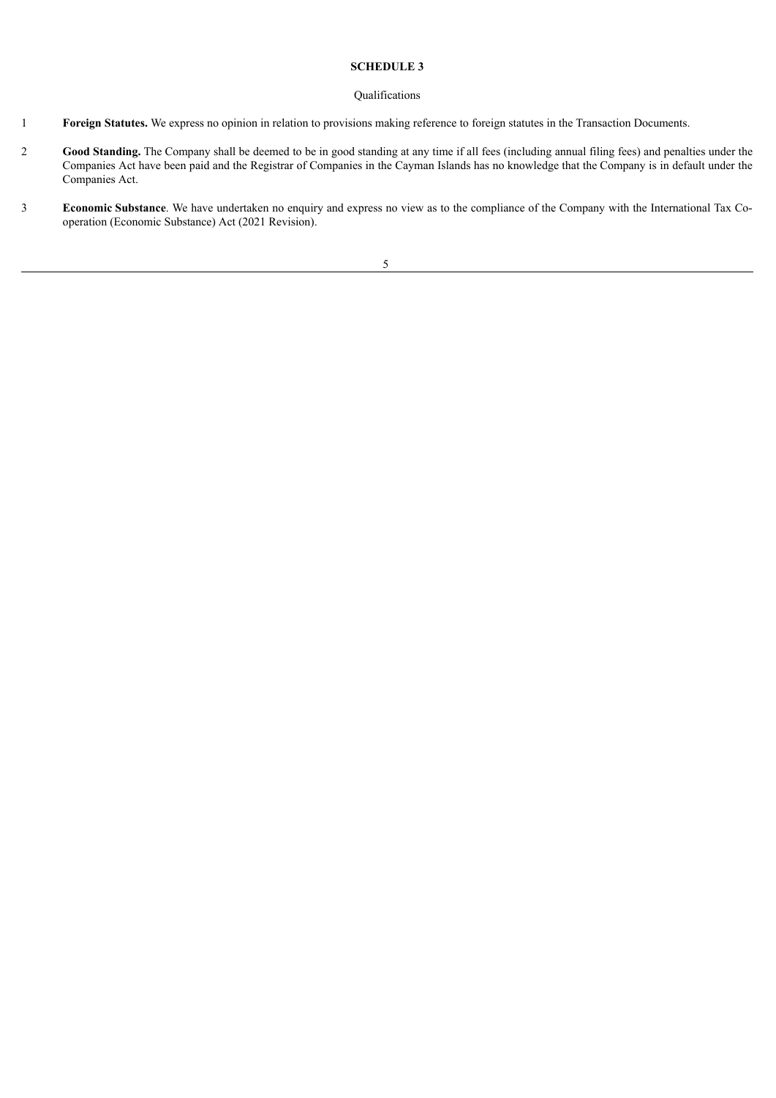#### **SCHEDULE 3**

#### Qualifications

- 1 **Foreign Statutes.** We express no opinion in relation to provisions making reference to foreign statutes in the Transaction Documents.
- 2 **Good Standing.** The Company shall be deemed to be in good standing at any time if all fees (including annual filing fees) and penalties under the Companies Act have been paid and the Registrar of Companies in the Cayman Islands has no knowledge that the Company is in default under the Companies Act.
- 3 **Economic Substance**. We have undertaken no enquiry and express no view as to the compliance of the Company with the International Tax Cooperation (Economic Substance) Act (2021 Revision).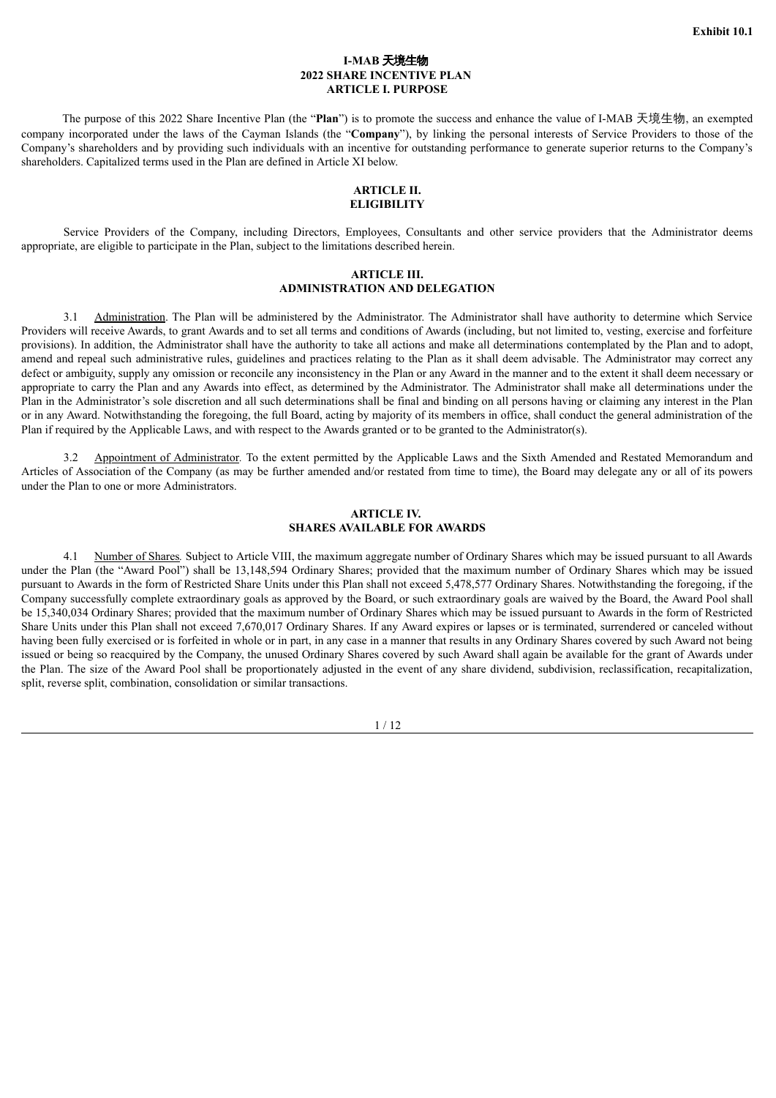#### **I-MAB** 天境生物 **2022 SHARE INCENTIVE PLAN ARTICLE I. PURPOSE**

<span id="page-12-0"></span>The purpose of this 2022 Share Incentive Plan (the "**Plan**") is to promote the success and enhance the value of I-MAB 天境生物, an exempted company incorporated under the laws of the Cayman Islands (the "**Company**"), by linking the personal interests of Service Providers to those of the Company's shareholders and by providing such individuals with an incentive for outstanding performance to generate superior returns to the Company's shareholders. Capitalized terms used in the Plan are defined in Article XI below.

#### **ARTICLE II. ELIGIBILITY**

Service Providers of the Company, including Directors, Employees, Consultants and other service providers that the Administrator deems appropriate, are eligible to participate in the Plan, subject to the limitations described herein.

#### **ARTICLE III. ADMINISTRATION AND DELEGATION**

3.1 Administration. The Plan will be administered by the Administrator. The Administrator shall have authority to determine which Service Providers will receive Awards, to grant Awards and to set all terms and conditions of Awards (including, but not limited to, vesting, exercise and forfeiture provisions). In addition, the Administrator shall have the authority to take all actions and make all determinations contemplated by the Plan and to adopt, amend and repeal such administrative rules, guidelines and practices relating to the Plan as it shall deem advisable. The Administrator may correct any defect or ambiguity, supply any omission or reconcile any inconsistency in the Plan or any Award in the manner and to the extent it shall deem necessary or appropriate to carry the Plan and any Awards into effect, as determined by the Administrator. The Administrator shall make all determinations under the Plan in the Administrator's sole discretion and all such determinations shall be final and binding on all persons having or claiming any interest in the Plan or in any Award. Notwithstanding the foregoing, the full Board, acting by majority of its members in office, shall conduct the general administration of the Plan if required by the Applicable Laws, and with respect to the Awards granted or to be granted to the Administrator(s).

3.2 Appointment of Administrator*.* To the extent permitted by the Applicable Laws and the Sixth Amended and Restated Memorandum and Articles of Association of the Company (as may be further amended and/or restated from time to time), the Board may delegate any or all of its powers under the Plan to one or more Administrators.

#### **ARTICLE IV. SHARES AVAILABLE FOR AWARDS**

4.1 Number of Shares*.* Subject to Article VIII, the maximum aggregate number of Ordinary Shares which may be issued pursuant to all Awards under the Plan (the "Award Pool") shall be 13,148,594 Ordinary Shares; provided that the maximum number of Ordinary Shares which may be issued pursuant to Awards in the form of Restricted Share Units under this Plan shall not exceed 5,478,577 Ordinary Shares. Notwithstanding the foregoing, if the Company successfully complete extraordinary goals as approved by the Board, or such extraordinary goals are waived by the Board, the Award Pool shall be 15,340,034 Ordinary Shares; provided that the maximum number of Ordinary Shares which may be issued pursuant to Awards in the form of Restricted Share Units under this Plan shall not exceed 7,670,017 Ordinary Shares. If any Award expires or lapses or is terminated, surrendered or canceled without having been fully exercised or is forfeited in whole or in part, in any case in a manner that results in any Ordinary Shares covered by such Award not being issued or being so reacquired by the Company, the unused Ordinary Shares covered by such Award shall again be available for the grant of Awards under the Plan. The size of the Award Pool shall be proportionately adjusted in the event of any share dividend, subdivision, reclassification, recapitalization, split, reverse split, combination, consolidation or similar transactions.

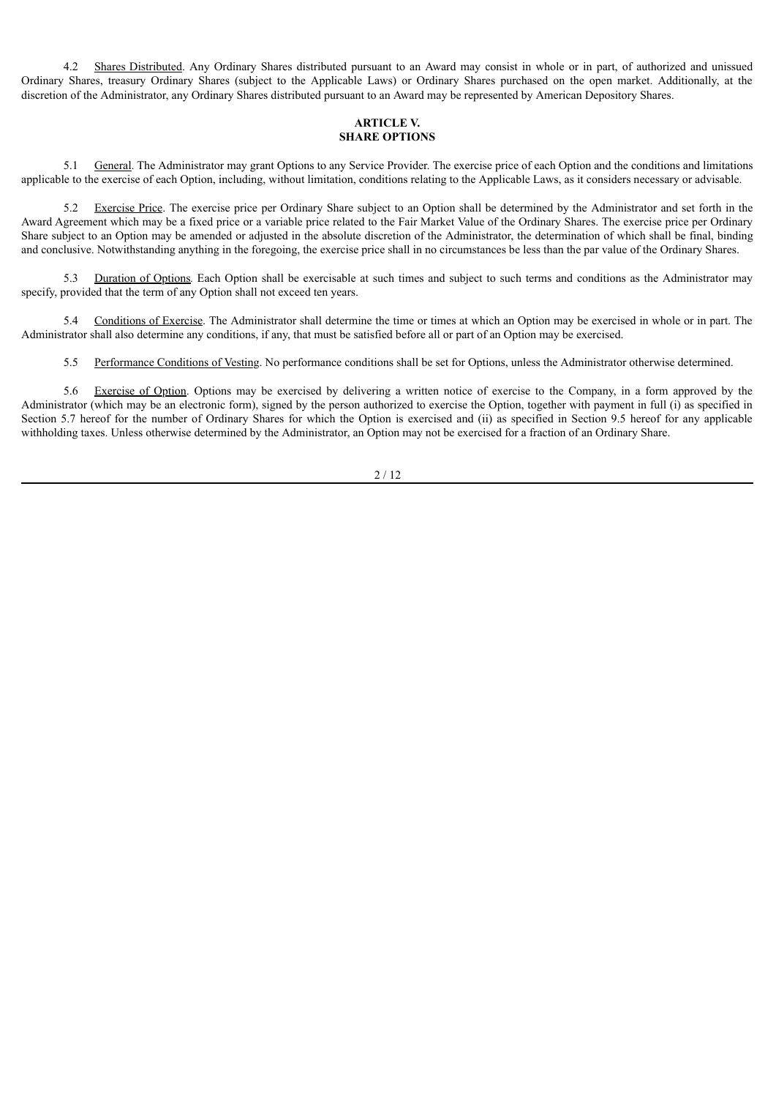4.2 Shares Distributed. Any Ordinary Shares distributed pursuant to an Award may consist in whole or in part, of authorized and unissued Ordinary Shares, treasury Ordinary Shares (subject to the Applicable Laws) or Ordinary Shares purchased on the open market. Additionally, at the discretion of the Administrator, any Ordinary Shares distributed pursuant to an Award may be represented by American Depository Shares.

### **ARTICLE V. SHARE OPTIONS**

5.1 General. The Administrator may grant Options to any Service Provider. The exercise price of each Option and the conditions and limitations applicable to the exercise of each Option, including, without limitation, conditions relating to the Applicable Laws, as it considers necessary or advisable.

5.2 Exercise Price. The exercise price per Ordinary Share subject to an Option shall be determined by the Administrator and set forth in the Award Agreement which may be a fixed price or a variable price related to the Fair Market Value of the Ordinary Shares. The exercise price per Ordinary Share subject to an Option may be amended or adjusted in the absolute discretion of the Administrator, the determination of which shall be final, binding and conclusive. Notwithstanding anything in the foregoing, the exercise price shall in no circumstances be less than the par value of the Ordinary Shares.

5.3 Duration of Options*.* Each Option shall be exercisable at such times and subject to such terms and conditions as the Administrator may specify, provided that the term of any Option shall not exceed ten years.

5.4 Conditions of Exercise. The Administrator shall determine the time or times at which an Option may be exercised in whole or in part. The Administrator shall also determine any conditions, if any, that must be satisfied before all or part of an Option may be exercised.

5.5 Performance Conditions of Vesting. No performance conditions shall be set for Options, unless the Administrator otherwise determined.

5.6 Exercise of Option. Options may be exercised by delivering a written notice of exercise to the Company, in a form approved by the Administrator (which may be an electronic form), signed by the person authorized to exercise the Option, together with payment in full (i) as specified in Section 5.7 hereof for the number of Ordinary Shares for which the Option is exercised and (ii) as specified in Section 9.5 hereof for any applicable withholding taxes. Unless otherwise determined by the Administrator, an Option may not be exercised for a fraction of an Ordinary Share.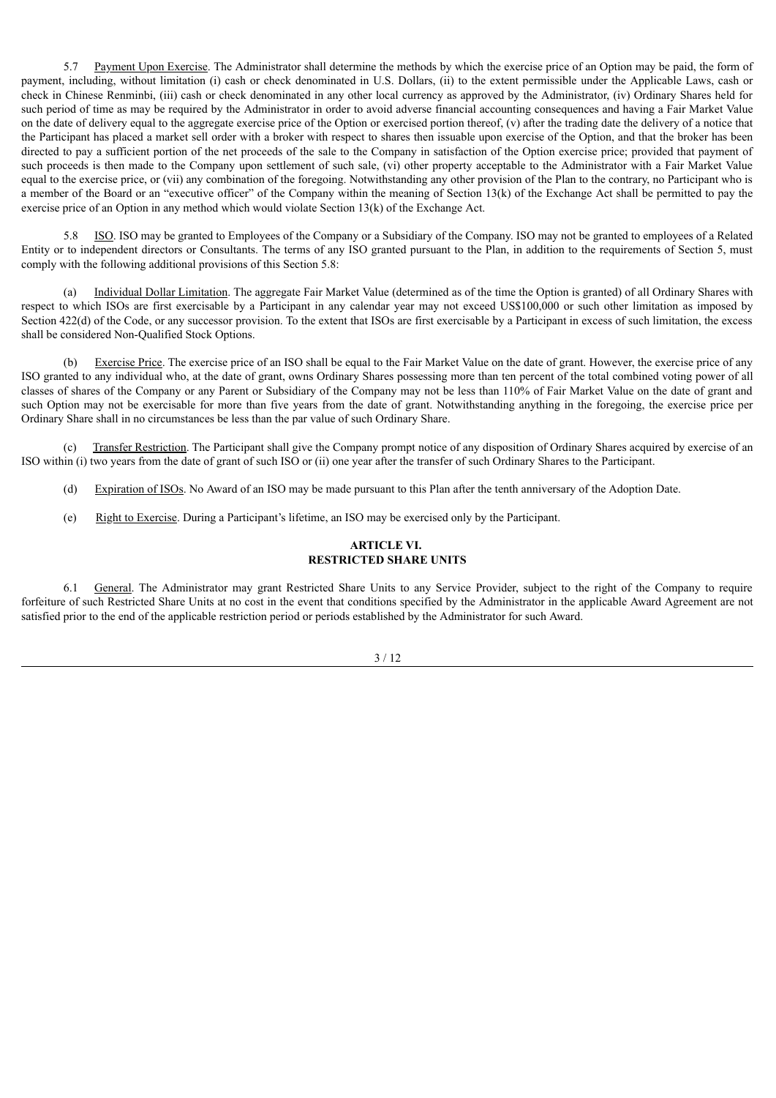5.7 Payment Upon Exercise. The Administrator shall determine the methods by which the exercise price of an Option may be paid, the form of payment, including, without limitation (i) cash or check denominated in U.S. Dollars, (ii) to the extent permissible under the Applicable Laws, cash or check in Chinese Renminbi, (iii) cash or check denominated in any other local currency as approved by the Administrator, (iv) Ordinary Shares held for such period of time as may be required by the Administrator in order to avoid adverse financial accounting consequences and having a Fair Market Value on the date of delivery equal to the aggregate exercise price of the Option or exercised portion thereof,  $(v)$  after the trading date the delivery of a notice that the Participant has placed a market sell order with a broker with respect to shares then issuable upon exercise of the Option, and that the broker has been directed to pay a sufficient portion of the net proceeds of the sale to the Company in satisfaction of the Option exercise price; provided that payment of such proceeds is then made to the Company upon settlement of such sale, (vi) other property acceptable to the Administrator with a Fair Market Value equal to the exercise price, or (vii) any combination of the foregoing. Notwithstanding any other provision of the Plan to the contrary, no Participant who is a member of the Board or an "executive officer" of the Company within the meaning of Section 13(k) of the Exchange Act shall be permitted to pay the exercise price of an Option in any method which would violate Section 13(k) of the Exchange Act.

5.8 ISO. ISO may be granted to Employees of the Company or a Subsidiary of the Company. ISO may not be granted to employees of a Related Entity or to independent directors or Consultants. The terms of any ISO granted pursuant to the Plan, in addition to the requirements of Section 5, must comply with the following additional provisions of this Section 5.8:

Individual Dollar Limitation. The aggregate Fair Market Value (determined as of the time the Option is granted) of all Ordinary Shares with respect to which ISOs are first exercisable by a Participant in any calendar year may not exceed US\$100,000 or such other limitation as imposed by Section 422(d) of the Code, or any successor provision. To the extent that ISOs are first exercisable by a Participant in excess of such limitation, the excess shall be considered Non-Qualified Stock Options.

(b) Exercise Price. The exercise price of an ISO shall be equal to the Fair Market Value on the date of grant. However, the exercise price of any ISO granted to any individual who, at the date of grant, owns Ordinary Shares possessing more than ten percent of the total combined voting power of all classes of shares of the Company or any Parent or Subsidiary of the Company may not be less than 110% of Fair Market Value on the date of grant and such Option may not be exercisable for more than five years from the date of grant. Notwithstanding anything in the foregoing, the exercise price per Ordinary Share shall in no circumstances be less than the par value of such Ordinary Share.

(c) Transfer Restriction. The Participant shall give the Company prompt notice of any disposition of Ordinary Shares acquired by exercise of an ISO within (i) two years from the date of grant of such ISO or (ii) one year after the transfer of such Ordinary Shares to the Participant.

- (d) Expiration of ISOs. No Award of an ISO may be made pursuant to this Plan after the tenth anniversary of the Adoption Date.
- (e) Right to Exercise. During a Participant's lifetime, an ISO may be exercised only by the Participant.

#### **ARTICLE VI. RESTRICTED SHARE UNITS**

6.1 General. The Administrator may grant Restricted Share Units to any Service Provider, subject to the right of the Company to require forfeiture of such Restricted Share Units at no cost in the event that conditions specified by the Administrator in the applicable Award Agreement are not satisfied prior to the end of the applicable restriction period or periods established by the Administrator for such Award.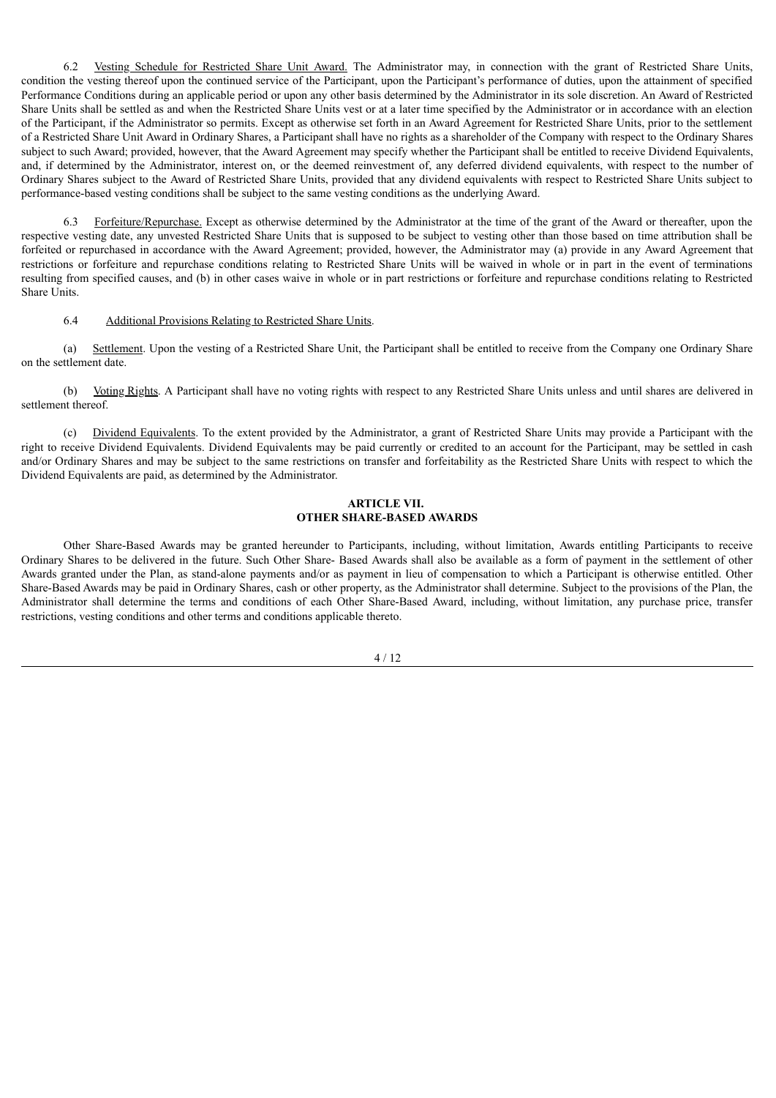6.2 Vesting Schedule for Restricted Share Unit Award. The Administrator may, in connection with the grant of Restricted Share Units, condition the vesting thereof upon the continued service of the Participant, upon the Participant's performance of duties, upon the attainment of specified Performance Conditions during an applicable period or upon any other basis determined by the Administrator in its sole discretion. An Award of Restricted Share Units shall be settled as and when the Restricted Share Units vest or at a later time specified by the Administrator or in accordance with an election of the Participant, if the Administrator so permits. Except as otherwise set forth in an Award Agreement for Restricted Share Units, prior to the settlement of a Restricted Share Unit Award in Ordinary Shares, a Participant shall have no rights as a shareholder of the Company with respect to the Ordinary Shares subject to such Award; provided, however, that the Award Agreement may specify whether the Participant shall be entitled to receive Dividend Equivalents, and, if determined by the Administrator, interest on, or the deemed reinvestment of, any deferred dividend equivalents, with respect to the number of Ordinary Shares subject to the Award of Restricted Share Units, provided that any dividend equivalents with respect to Restricted Share Units subject to performance-based vesting conditions shall be subject to the same vesting conditions as the underlying Award.

6.3 Forfeiture/Repurchase. Except as otherwise determined by the Administrator at the time of the grant of the Award or thereafter, upon the respective vesting date, any unvested Restricted Share Units that is supposed to be subject to vesting other than those based on time attribution shall be forfeited or repurchased in accordance with the Award Agreement; provided, however, the Administrator may (a) provide in any Award Agreement that restrictions or forfeiture and repurchase conditions relating to Restricted Share Units will be waived in whole or in part in the event of terminations resulting from specified causes, and (b) in other cases waive in whole or in part restrictions or forfeiture and repurchase conditions relating to Restricted Share Units.

#### 6.4 Additional Provisions Relating to Restricted Share Units.

(a) Settlement. Upon the vesting of a Restricted Share Unit, the Participant shall be entitled to receive from the Company one Ordinary Share on the settlement date.

(b) Voting Rights. A Participant shall have no voting rights with respect to any Restricted Share Units unless and until shares are delivered in settlement thereof.

(c) Dividend Equivalents. To the extent provided by the Administrator, a grant of Restricted Share Units may provide a Participant with the right to receive Dividend Equivalents. Dividend Equivalents may be paid currently or credited to an account for the Participant, may be settled in cash and/or Ordinary Shares and may be subject to the same restrictions on transfer and forfeitability as the Restricted Share Units with respect to which the Dividend Equivalents are paid, as determined by the Administrator.

#### **ARTICLE VII. OTHER SHARE-BASED AWARDS**

Other Share-Based Awards may be granted hereunder to Participants, including, without limitation, Awards entitling Participants to receive Ordinary Shares to be delivered in the future. Such Other Share- Based Awards shall also be available as a form of payment in the settlement of other Awards granted under the Plan, as stand-alone payments and/or as payment in lieu of compensation to which a Participant is otherwise entitled. Other Share-Based Awards may be paid in Ordinary Shares, cash or other property, as the Administrator shall determine. Subject to the provisions of the Plan, the Administrator shall determine the terms and conditions of each Other Share-Based Award, including, without limitation, any purchase price, transfer restrictions, vesting conditions and other terms and conditions applicable thereto.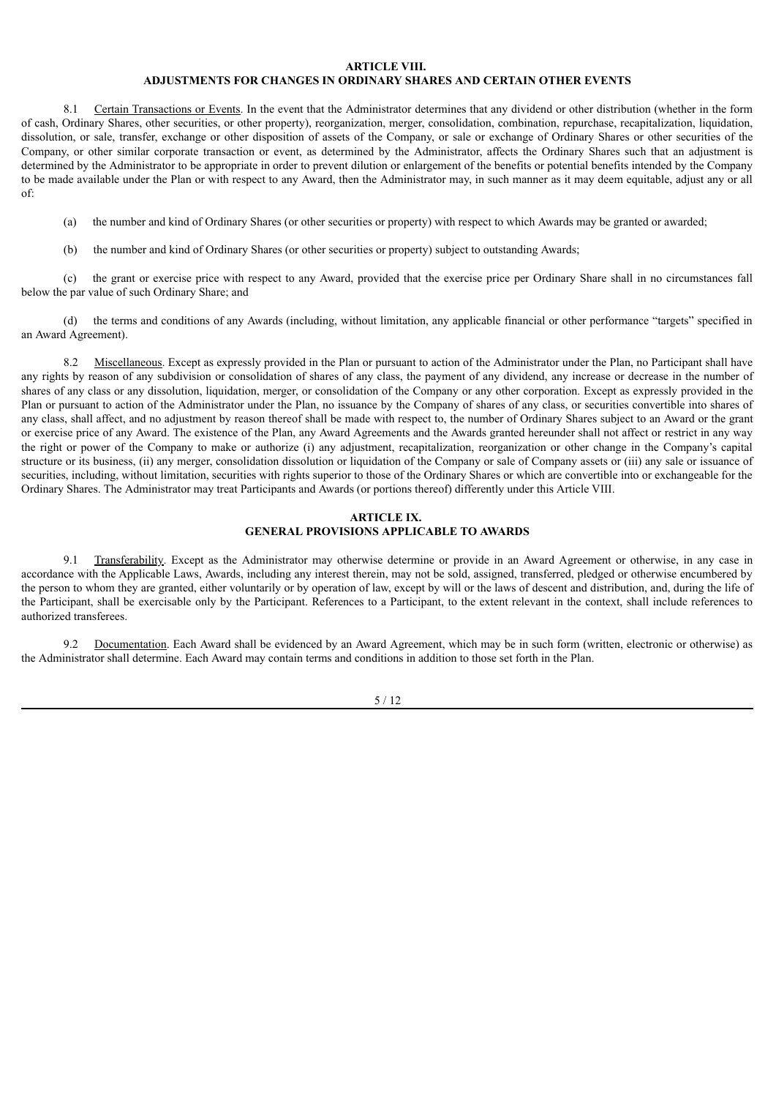#### **ARTICLE VIII.**

# **ADJUSTMENTS FOR CHANGES IN ORDINARY SHARES AND CERTAIN OTHER EVENTS**

8.1 Certain Transactions or Events. In the event that the Administrator determines that any dividend or other distribution (whether in the form of cash, Ordinary Shares, other securities, or other property), reorganization, merger, consolidation, combination, repurchase, recapitalization, liquidation, dissolution, or sale, transfer, exchange or other disposition of assets of the Company, or sale or exchange of Ordinary Shares or other securities of the Company, or other similar corporate transaction or event, as determined by the Administrator, affects the Ordinary Shares such that an adjustment is determined by the Administrator to be appropriate in order to prevent dilution or enlargement of the benefits or potential benefits intended by the Company to be made available under the Plan or with respect to any Award, then the Administrator may, in such manner as it may deem equitable, adjust any or all of:

- (a) the number and kind of Ordinary Shares (or other securities or property) with respect to which Awards may be granted or awarded;
- (b) the number and kind of Ordinary Shares (or other securities or property) subject to outstanding Awards;

(c) the grant or exercise price with respect to any Award, provided that the exercise price per Ordinary Share shall in no circumstances fall below the par value of such Ordinary Share; and

(d) the terms and conditions of any Awards (including, without limitation, any applicable financial or other performance "targets" specified in an Award Agreement).

8.2 Miscellaneous. Except as expressly provided in the Plan or pursuant to action of the Administrator under the Plan, no Participant shall have any rights by reason of any subdivision or consolidation of shares of any class, the payment of any dividend, any increase or decrease in the number of shares of any class or any dissolution, liquidation, merger, or consolidation of the Company or any other corporation. Except as expressly provided in the Plan or pursuant to action of the Administrator under the Plan, no issuance by the Company of shares of any class, or securities convertible into shares of any class, shall affect, and no adjustment by reason thereof shall be made with respect to, the number of Ordinary Shares subject to an Award or the grant or exercise price of any Award. The existence of the Plan, any Award Agreements and the Awards granted hereunder shall not affect or restrict in any way the right or power of the Company to make or authorize (i) any adjustment, recapitalization, reorganization or other change in the Company's capital structure or its business, (ii) any merger, consolidation dissolution or liquidation of the Company or sale of Company assets or (iii) any sale or issuance of securities, including, without limitation, securities with rights superior to those of the Ordinary Shares or which are convertible into or exchangeable for the Ordinary Shares. The Administrator may treat Participants and Awards (or portions thereof) differently under this Article VIII.

#### **ARTICLE IX. GENERAL PROVISIONS APPLICABLE TO AWARDS**

Transferability. Except as the Administrator may otherwise determine or provide in an Award Agreement or otherwise, in any case in accordance with the Applicable Laws, Awards, including any interest therein, may not be sold, assigned, transferred, pledged or otherwise encumbered by the person to whom they are granted, either voluntarily or by operation of law, except by will or the laws of descent and distribution, and, during the life of the Participant, shall be exercisable only by the Participant. References to a Participant, to the extent relevant in the context, shall include references to authorized transferees.

9.2 Documentation. Each Award shall be evidenced by an Award Agreement, which may be in such form (written, electronic or otherwise) as the Administrator shall determine. Each Award may contain terms and conditions in addition to those set forth in the Plan.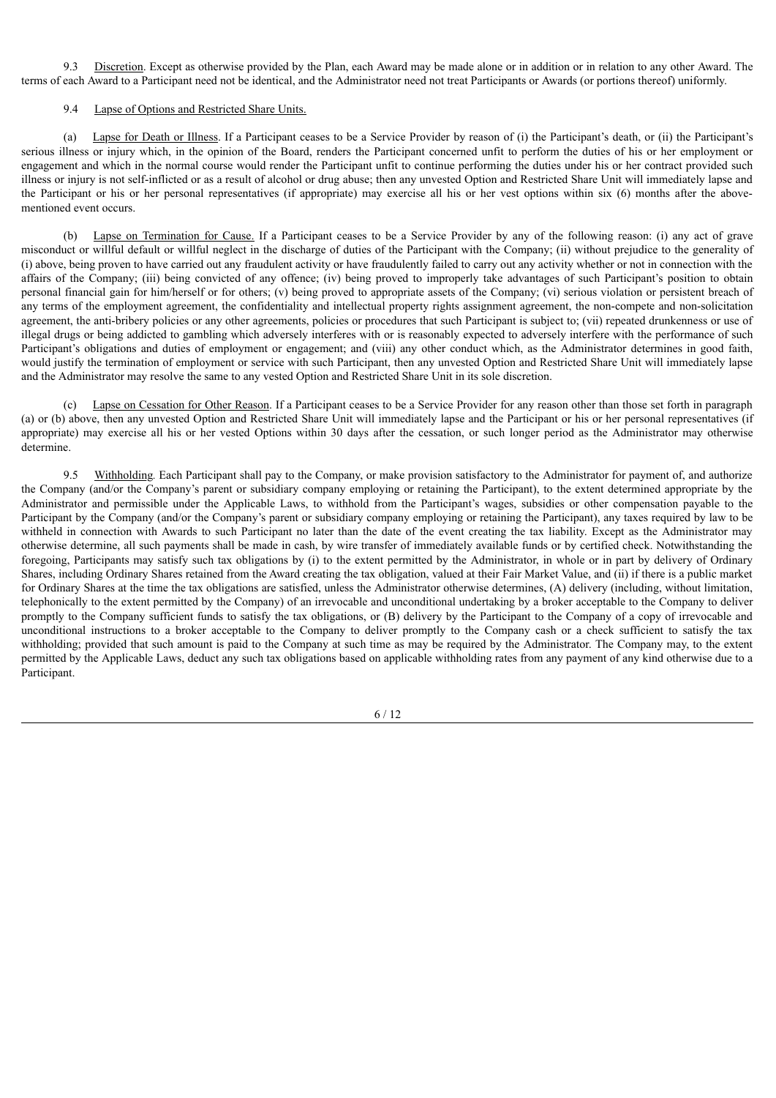9.3 Discretion. Except as otherwise provided by the Plan, each Award may be made alone or in addition or in relation to any other Award. The terms of each Award to a Participant need not be identical, and the Administrator need not treat Participants or Awards (or portions thereof) uniformly.

#### 9.4 Lapse of Options and Restricted Share Units.

(a) Lapse for Death or Illness. If a Participant ceases to be a Service Provider by reason of (i) the Participant's death, or (ii) the Participant's serious illness or injury which, in the opinion of the Board, renders the Participant concerned unfit to perform the duties of his or her employment or engagement and which in the normal course would render the Participant unfit to continue performing the duties under his or her contract provided such illness or injury is not self-inflicted or as a result of alcohol or drug abuse; then any unvested Option and Restricted Share Unit will immediately lapse and the Participant or his or her personal representatives (if appropriate) may exercise all his or her vest options within six (6) months after the abovementioned event occurs.

(b) Lapse on Termination for Cause. If a Participant ceases to be a Service Provider by any of the following reason: (i) any act of grave misconduct or willful default or willful neglect in the discharge of duties of the Participant with the Company; (ii) without prejudice to the generality of (i) above, being proven to have carried out any fraudulent activity or have fraudulently failed to carry out any activity whether or not in connection with the affairs of the Company; (iii) being convicted of any offence; (iv) being proved to improperly take advantages of such Participant's position to obtain personal financial gain for him/herself or for others; (v) being proved to appropriate assets of the Company; (vi) serious violation or persistent breach of any terms of the employment agreement, the confidentiality and intellectual property rights assignment agreement, the non-compete and non-solicitation agreement, the anti-bribery policies or any other agreements, policies or procedures that such Participant is subject to; (vii) repeated drunkenness or use of illegal drugs or being addicted to gambling which adversely interferes with or is reasonably expected to adversely interfere with the performance of such Participant's obligations and duties of employment or engagement; and (viii) any other conduct which, as the Administrator determines in good faith, would justify the termination of employment or service with such Participant, then any unvested Option and Restricted Share Unit will immediately lapse and the Administrator may resolve the same to any vested Option and Restricted Share Unit in its sole discretion.

Lapse on Cessation for Other Reason. If a Participant ceases to be a Service Provider for any reason other than those set forth in paragraph (a) or (b) above, then any unvested Option and Restricted Share Unit will immediately lapse and the Participant or his or her personal representatives (if appropriate) may exercise all his or her vested Options within 30 days after the cessation, or such longer period as the Administrator may otherwise determine.

9.5 Withholding*.* Each Participant shall pay to the Company, or make provision satisfactory to the Administrator for payment of, and authorize the Company (and/or the Company's parent or subsidiary company employing or retaining the Participant), to the extent determined appropriate by the Administrator and permissible under the Applicable Laws, to withhold from the Participant's wages, subsidies or other compensation payable to the Participant by the Company (and/or the Company's parent or subsidiary company employing or retaining the Participant), any taxes required by law to be withheld in connection with Awards to such Participant no later than the date of the event creating the tax liability. Except as the Administrator may otherwise determine, all such payments shall be made in cash, by wire transfer of immediately available funds or by certified check. Notwithstanding the foregoing, Participants may satisfy such tax obligations by (i) to the extent permitted by the Administrator, in whole or in part by delivery of Ordinary Shares, including Ordinary Shares retained from the Award creating the tax obligation, valued at their Fair Market Value, and (ii) if there is a public market for Ordinary Shares at the time the tax obligations are satisfied, unless the Administrator otherwise determines, (A) delivery (including, without limitation, telephonically to the extent permitted by the Company) of an irrevocable and unconditional undertaking by a broker acceptable to the Company to deliver promptly to the Company sufficient funds to satisfy the tax obligations, or (B) delivery by the Participant to the Company of a copy of irrevocable and unconditional instructions to a broker acceptable to the Company to deliver promptly to the Company cash or a check sufficient to satisfy the tax withholding; provided that such amount is paid to the Company at such time as may be required by the Administrator. The Company may, to the extent permitted by the Applicable Laws, deduct any such tax obligations based on applicable withholding rates from any payment of any kind otherwise due to a Participant.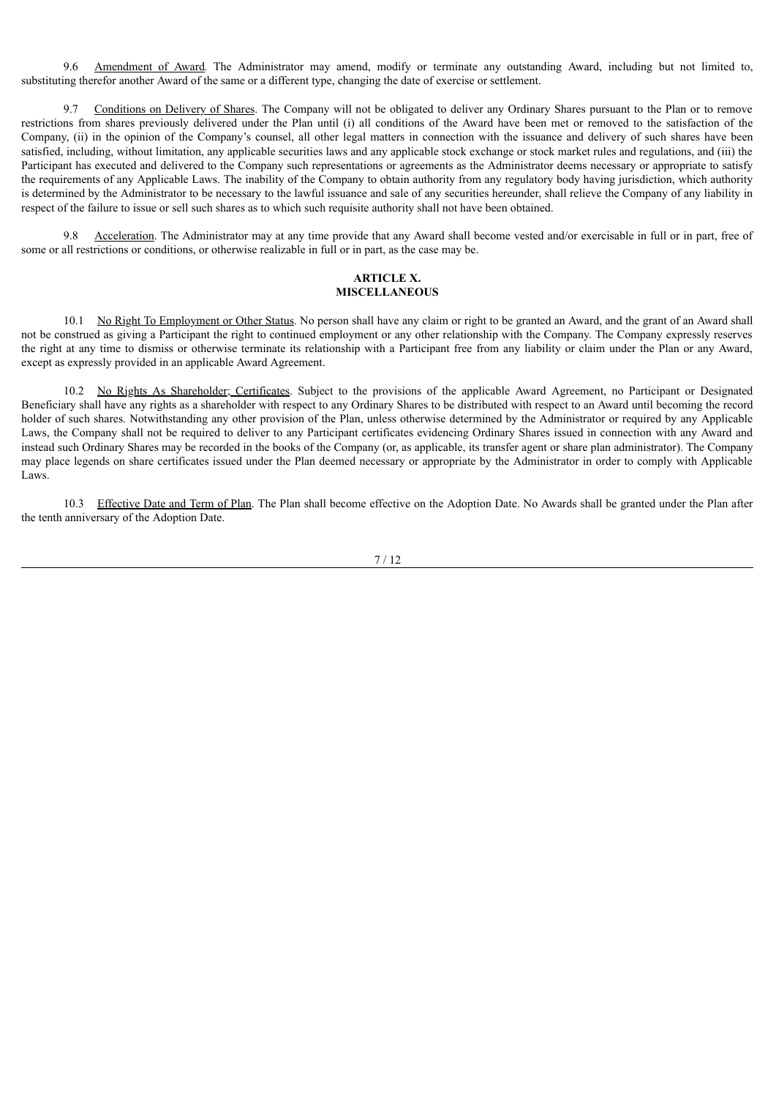9.6 Amendment of Award*.* The Administrator may amend, modify or terminate any outstanding Award, including but not limited to, substituting therefor another Award of the same or a different type, changing the date of exercise or settlement.

9.7 Conditions on Delivery of Shares. The Company will not be obligated to deliver any Ordinary Shares pursuant to the Plan or to remove restrictions from shares previously delivered under the Plan until (i) all conditions of the Award have been met or removed to the satisfaction of the Company, (ii) in the opinion of the Company's counsel, all other legal matters in connection with the issuance and delivery of such shares have been satisfied, including, without limitation, any applicable securities laws and any applicable stock exchange or stock market rules and regulations, and (iii) the Participant has executed and delivered to the Company such representations or agreements as the Administrator deems necessary or appropriate to satisfy the requirements of any Applicable Laws. The inability of the Company to obtain authority from any regulatory body having jurisdiction, which authority is determined by the Administrator to be necessary to the lawful issuance and sale of any securities hereunder, shall relieve the Company of any liability in respect of the failure to issue or sell such shares as to which such requisite authority shall not have been obtained.

9.8 Acceleration. The Administrator may at any time provide that any Award shall become vested and/or exercisable in full or in part, free of some or all restrictions or conditions, or otherwise realizable in full or in part, as the case may be.

#### **ARTICLE X. MISCELLANEOUS**

10.1 No Right To Employment or Other Status. No person shall have any claim or right to be granted an Award, and the grant of an Award shall not be construed as giving a Participant the right to continued employment or any other relationship with the Company. The Company expressly reserves the right at any time to dismiss or otherwise terminate its relationship with a Participant free from any liability or claim under the Plan or any Award, except as expressly provided in an applicable Award Agreement.

10.2 No Rights As Shareholder; Certificates. Subject to the provisions of the applicable Award Agreement, no Participant or Designated Beneficiary shall have any rights as a shareholder with respect to any Ordinary Shares to be distributed with respect to an Award until becoming the record holder of such shares. Notwithstanding any other provision of the Plan, unless otherwise determined by the Administrator or required by any Applicable Laws, the Company shall not be required to deliver to any Participant certificates evidencing Ordinary Shares issued in connection with any Award and instead such Ordinary Shares may be recorded in the books of the Company (or, as applicable, its transfer agent or share plan administrator). The Company may place legends on share certificates issued under the Plan deemed necessary or appropriate by the Administrator in order to comply with Applicable Laws.

10.3 Effective Date and Term of Plan. The Plan shall become effective on the Adoption Date. No Awards shall be granted under the Plan after the tenth anniversary of the Adoption Date.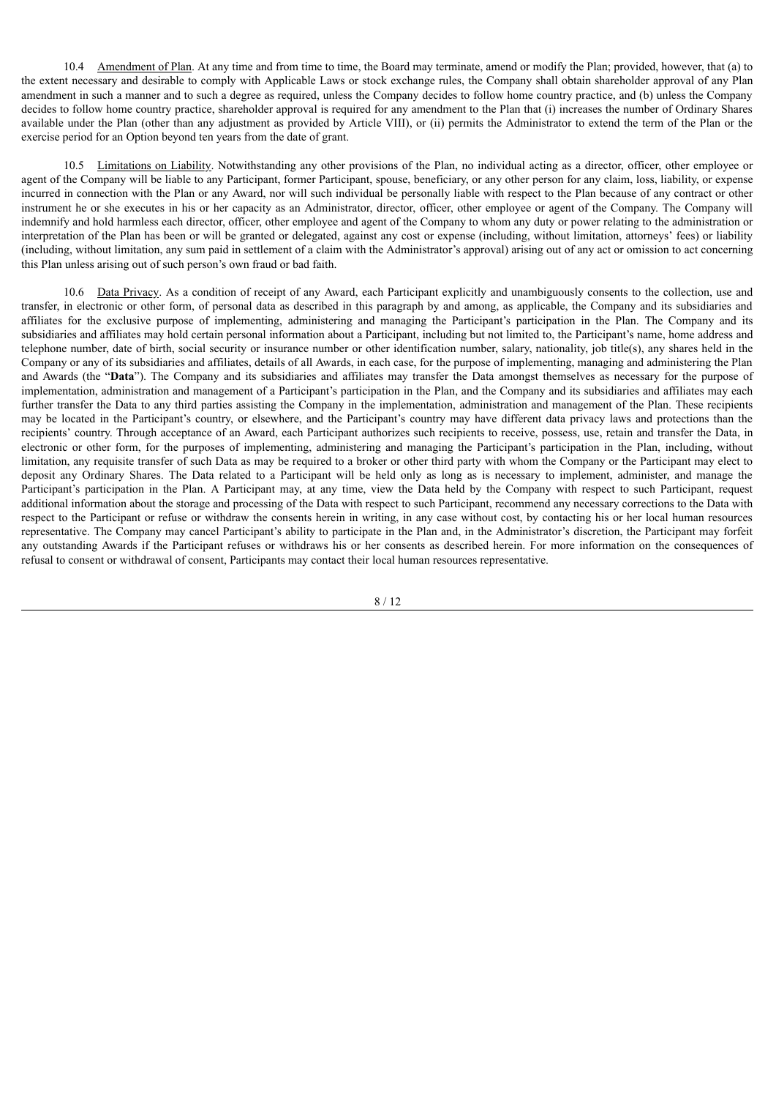10.4 Amendment of Plan. At any time and from time to time, the Board may terminate, amend or modify the Plan; provided, however, that (a) to the extent necessary and desirable to comply with Applicable Laws or stock exchange rules, the Company shall obtain shareholder approval of any Plan amendment in such a manner and to such a degree as required, unless the Company decides to follow home country practice, and (b) unless the Company decides to follow home country practice, shareholder approval is required for any amendment to the Plan that (i) increases the number of Ordinary Shares available under the Plan (other than any adjustment as provided by Article VIII), or (ii) permits the Administrator to extend the term of the Plan or the exercise period for an Option beyond ten years from the date of grant.

10.5 Limitations on Liability. Notwithstanding any other provisions of the Plan, no individual acting as a director, officer, other employee or agent of the Company will be liable to any Participant, former Participant, spouse, beneficiary, or any other person for any claim, loss, liability, or expense incurred in connection with the Plan or any Award, nor will such individual be personally liable with respect to the Plan because of any contract or other instrument he or she executes in his or her capacity as an Administrator, director, officer, other employee or agent of the Company. The Company will indemnify and hold harmless each director, officer, other employee and agent of the Company to whom any duty or power relating to the administration or interpretation of the Plan has been or will be granted or delegated, against any cost or expense (including, without limitation, attorneys' fees) or liability (including, without limitation, any sum paid in settlement of a claim with the Administrator's approval) arising out of any act or omission to act concerning this Plan unless arising out of such person's own fraud or bad faith.

10.6 Data Privacy. As a condition of receipt of any Award, each Participant explicitly and unambiguously consents to the collection, use and transfer, in electronic or other form, of personal data as described in this paragraph by and among, as applicable, the Company and its subsidiaries and affiliates for the exclusive purpose of implementing, administering and managing the Participant's participation in the Plan. The Company and its subsidiaries and affiliates may hold certain personal information about a Participant, including but not limited to, the Participant's name, home address and telephone number, date of birth, social security or insurance number or other identification number, salary, nationality, job title(s), any shares held in the Company or any of its subsidiaries and affiliates, details of all Awards, in each case, for the purpose of implementing, managing and administering the Plan and Awards (the "**Data**"). The Company and its subsidiaries and affiliates may transfer the Data amongst themselves as necessary for the purpose of implementation, administration and management of a Participant's participation in the Plan, and the Company and its subsidiaries and affiliates may each further transfer the Data to any third parties assisting the Company in the implementation, administration and management of the Plan. These recipients may be located in the Participant's country, or elsewhere, and the Participant's country may have different data privacy laws and protections than the recipients' country. Through acceptance of an Award, each Participant authorizes such recipients to receive, possess, use, retain and transfer the Data, in electronic or other form, for the purposes of implementing, administering and managing the Participant's participation in the Plan, including, without limitation, any requisite transfer of such Data as may be required to a broker or other third party with whom the Company or the Participant may elect to deposit any Ordinary Shares. The Data related to a Participant will be held only as long as is necessary to implement, administer, and manage the Participant's participation in the Plan. A Participant may, at any time, view the Data held by the Company with respect to such Participant, request additional information about the storage and processing of the Data with respect to such Participant, recommend any necessary corrections to the Data with respect to the Participant or refuse or withdraw the consents herein in writing, in any case without cost, by contacting his or her local human resources representative. The Company may cancel Participant's ability to participate in the Plan and, in the Administrator's discretion, the Participant may forfeit any outstanding Awards if the Participant refuses or withdraws his or her consents as described herein. For more information on the consequences of refusal to consent or withdrawal of consent, Participants may contact their local human resources representative.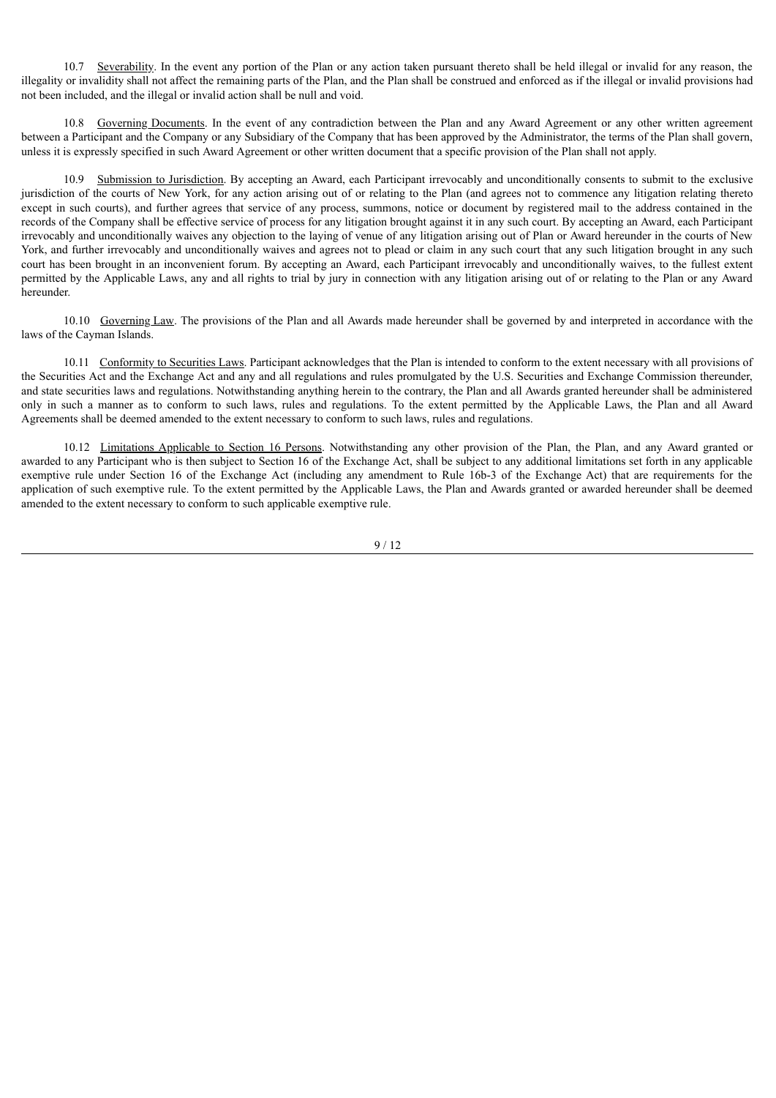10.7 Severability. In the event any portion of the Plan or any action taken pursuant thereto shall be held illegal or invalid for any reason, the illegality or invalidity shall not affect the remaining parts of the Plan, and the Plan shall be construed and enforced as if the illegal or invalid provisions had not been included, and the illegal or invalid action shall be null and void.

10.8 Governing Documents. In the event of any contradiction between the Plan and any Award Agreement or any other written agreement between a Participant and the Company or any Subsidiary of the Company that has been approved by the Administrator, the terms of the Plan shall govern, unless it is expressly specified in such Award Agreement or other written document that a specific provision of the Plan shall not apply.

10.9 Submission to Jurisdiction. By accepting an Award, each Participant irrevocably and unconditionally consents to submit to the exclusive jurisdiction of the courts of New York, for any action arising out of or relating to the Plan (and agrees not to commence any litigation relating thereto except in such courts), and further agrees that service of any process, summons, notice or document by registered mail to the address contained in the records of the Company shall be effective service of process for any litigation brought against it in any such court. By accepting an Award, each Participant irrevocably and unconditionally waives any objection to the laying of venue of any litigation arising out of Plan or Award hereunder in the courts of New York, and further irrevocably and unconditionally waives and agrees not to plead or claim in any such court that any such litigation brought in any such court has been brought in an inconvenient forum. By accepting an Award, each Participant irrevocably and unconditionally waives, to the fullest extent permitted by the Applicable Laws, any and all rights to trial by jury in connection with any litigation arising out of or relating to the Plan or any Award hereunder.

10.10 Governing Law. The provisions of the Plan and all Awards made hereunder shall be governed by and interpreted in accordance with the laws of the Cayman Islands.

10.11 Conformity to Securities Laws. Participant acknowledges that the Plan is intended to conform to the extent necessary with all provisions of the Securities Act and the Exchange Act and any and all regulations and rules promulgated by the U.S. Securities and Exchange Commission thereunder, and state securities laws and regulations. Notwithstanding anything herein to the contrary, the Plan and all Awards granted hereunder shall be administered only in such a manner as to conform to such laws, rules and regulations. To the extent permitted by the Applicable Laws, the Plan and all Award Agreements shall be deemed amended to the extent necessary to conform to such laws, rules and regulations.

10.12 Limitations Applicable to Section 16 Persons. Notwithstanding any other provision of the Plan, the Plan, and any Award granted or awarded to any Participant who is then subject to Section 16 of the Exchange Act, shall be subject to any additional limitations set forth in any applicable exemptive rule under Section 16 of the Exchange Act (including any amendment to Rule 16b-3 of the Exchange Act) that are requirements for the application of such exemptive rule. To the extent permitted by the Applicable Laws, the Plan and Awards granted or awarded hereunder shall be deemed amended to the extent necessary to conform to such applicable exemptive rule.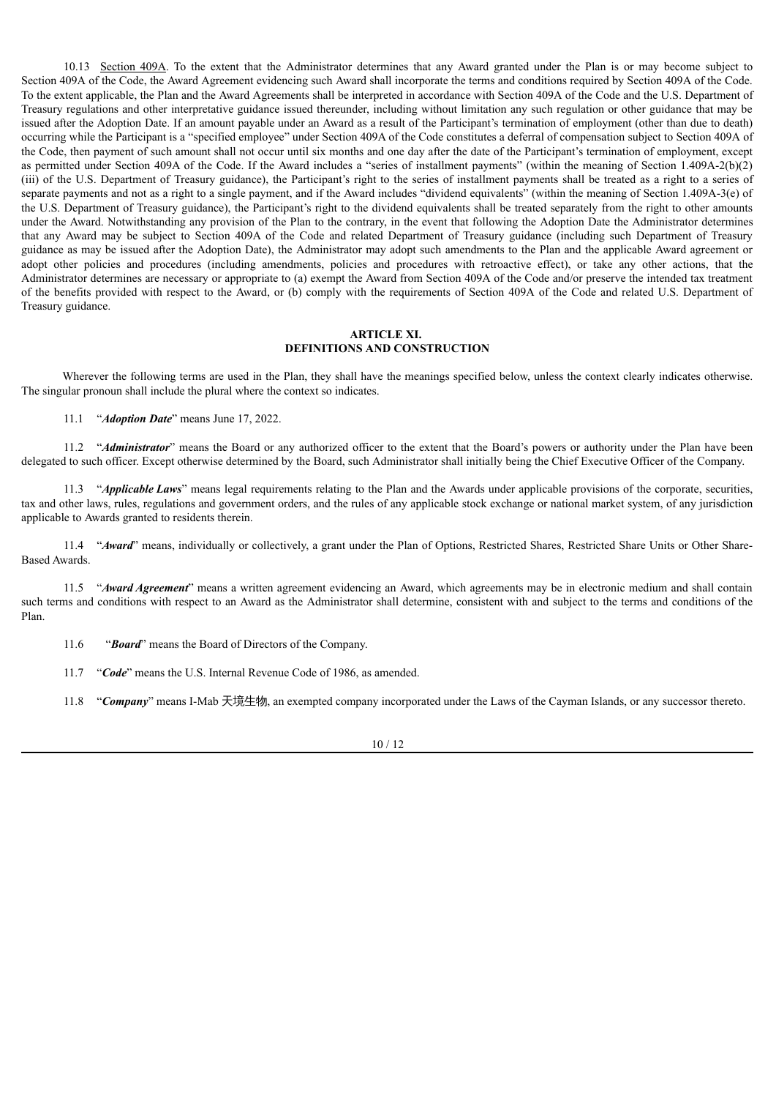10.13 Section 409A. To the extent that the Administrator determines that any Award granted under the Plan is or may become subject to Section 409A of the Code, the Award Agreement evidencing such Award shall incorporate the terms and conditions required by Section 409A of the Code. To the extent applicable, the Plan and the Award Agreements shall be interpreted in accordance with Section 409A of the Code and the U.S. Department of Treasury regulations and other interpretative guidance issued thereunder, including without limitation any such regulation or other guidance that may be issued after the Adoption Date. If an amount payable under an Award as a result of the Participant's termination of employment (other than due to death) occurring while the Participant is a "specified employee" under Section 409A of the Code constitutes a deferral of compensation subject to Section 409A of the Code, then payment of such amount shall not occur until six months and one day after the date of the Participant's termination of employment, except as permitted under Section 409A of the Code. If the Award includes a "series of installment payments" (within the meaning of Section 1.409A-2(b)(2) (iii) of the U.S. Department of Treasury guidance), the Participant's right to the series of installment payments shall be treated as a right to a series of separate payments and not as a right to a single payment, and if the Award includes "dividend equivalents" (within the meaning of Section 1.409A-3(e) of the U.S. Department of Treasury guidance), the Participant's right to the dividend equivalents shall be treated separately from the right to other amounts under the Award. Notwithstanding any provision of the Plan to the contrary, in the event that following the Adoption Date the Administrator determines that any Award may be subject to Section 409A of the Code and related Department of Treasury guidance (including such Department of Treasury guidance as may be issued after the Adoption Date), the Administrator may adopt such amendments to the Plan and the applicable Award agreement or adopt other policies and procedures (including amendments, policies and procedures with retroactive effect), or take any other actions, that the Administrator determines are necessary or appropriate to (a) exempt the Award from Section 409A of the Code and/or preserve the intended tax treatment of the benefits provided with respect to the Award, or (b) comply with the requirements of Section 409A of the Code and related U.S. Department of Treasury guidance.

#### **ARTICLE XI. DEFINITIONS AND CONSTRUCTION**

Wherever the following terms are used in the Plan, they shall have the meanings specified below, unless the context clearly indicates otherwise. The singular pronoun shall include the plural where the context so indicates.

11.1 "*Adoption Date*" means June 17, 2022.

11.2 "*Administrator*" means the Board or any authorized officer to the extent that the Board's powers or authority under the Plan have been delegated to such officer. Except otherwise determined by the Board, such Administrator shall initially being the Chief Executive Officer of the Company.

11.3 "*Applicable Laws*" means legal requirements relating to the Plan and the Awards under applicable provisions of the corporate, securities, tax and other laws, rules, regulations and government orders, and the rules of any applicable stock exchange or national market system, of any jurisdiction applicable to Awards granted to residents therein.

11.4 "*Award*" means, individually or collectively, a grant under the Plan of Options, Restricted Shares, Restricted Share Units or Other Share-Based Awards.

11.5 "*Award Agreement*" means a written agreement evidencing an Award, which agreements may be in electronic medium and shall contain such terms and conditions with respect to an Award as the Administrator shall determine, consistent with and subject to the terms and conditions of the Plan.

- 11.6 "*Board*" means the Board of Directors of the Company.
- 11.7 "*Code*" means the U.S. Internal Revenue Code of 1986, as amended.

11.8 "*Company*" means I-Mab 天境生物, an exempted company incorporated under the Laws of the Cayman Islands, or any successor thereto.

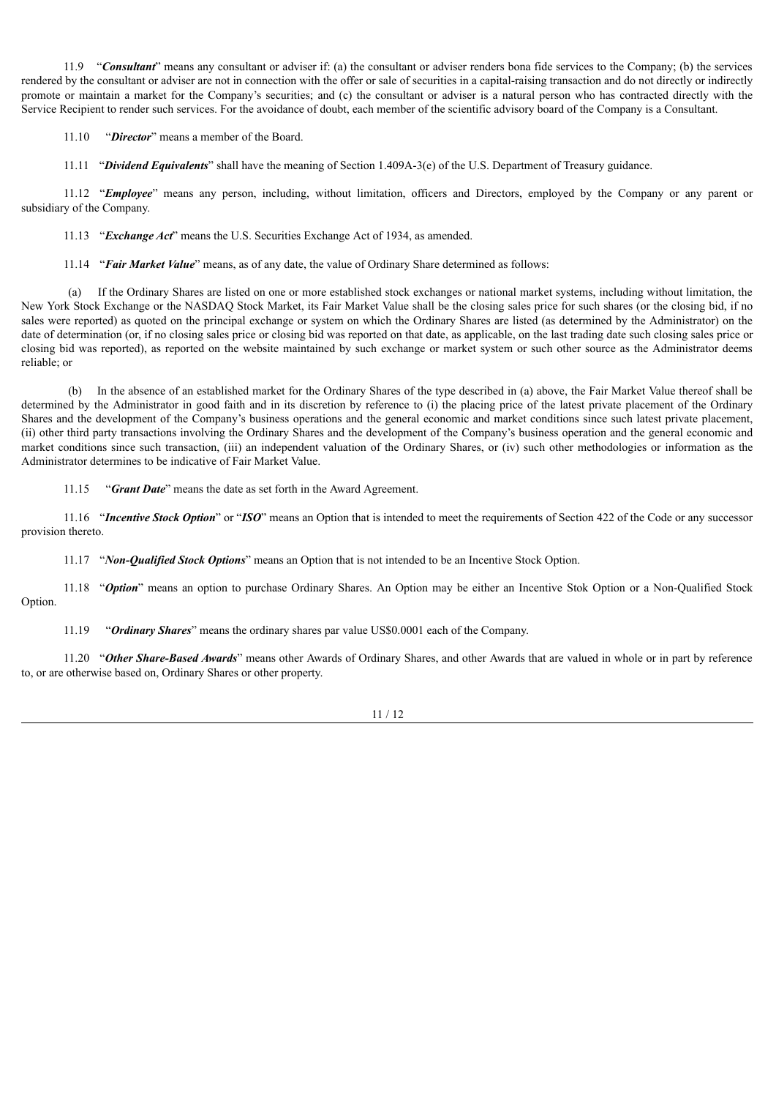11.9 "*Consultant*" means any consultant or adviser if: (a) the consultant or adviser renders bona fide services to the Company; (b) the services rendered by the consultant or adviser are not in connection with the offer or sale of securities in a capital-raising transaction and do not directly or indirectly promote or maintain a market for the Company's securities; and (c) the consultant or adviser is a natural person who has contracted directly with the Service Recipient to render such services. For the avoidance of doubt, each member of the scientific advisory board of the Company is a Consultant.

11.10 "*Director*" means a member of the Board.

11.11 "*Dividend Equivalents*" shall have the meaning of Section 1.409A-3(e) of the U.S. Department of Treasury guidance.

11.12 "*Employee*" means any person, including, without limitation, officers and Directors, employed by the Company or any parent or subsidiary of the Company.

11.13 "*Exchange Act*" means the U.S. Securities Exchange Act of 1934, as amended.

11.14 "*Fair Market Value*" means, as of any date, the value of Ordinary Share determined as follows:

(a) If the Ordinary Shares are listed on one or more established stock exchanges or national market systems, including without limitation, the New York Stock Exchange or the NASDAQ Stock Market, its Fair Market Value shall be the closing sales price for such shares (or the closing bid, if no sales were reported) as quoted on the principal exchange or system on which the Ordinary Shares are listed (as determined by the Administrator) on the date of determination (or, if no closing sales price or closing bid was reported on that date, as applicable, on the last trading date such closing sales price or closing bid was reported), as reported on the website maintained by such exchange or market system or such other source as the Administrator deems reliable; or

(b) In the absence of an established market for the Ordinary Shares of the type described in (a) above, the Fair Market Value thereof shall be determined by the Administrator in good faith and in its discretion by reference to (i) the placing price of the latest private placement of the Ordinary Shares and the development of the Company's business operations and the general economic and market conditions since such latest private placement, (ii) other third party transactions involving the Ordinary Shares and the development of the Company's business operation and the general economic and market conditions since such transaction, (iii) an independent valuation of the Ordinary Shares, or (iv) such other methodologies or information as the Administrator determines to be indicative of Fair Market Value.

11.15 "*Grant Date*" means the date as set forth in the Award Agreement.

11.16 "*Incentive Stock Option*" or "*ISO*" means an Option that is intended to meet the requirements of Section 422 of the Code or any successor provision thereto.

11.17 "*Non-Qualified Stock Options*" means an Option that is not intended to be an Incentive Stock Option.

11.18 "*Option*" means an option to purchase Ordinary Shares. An Option may be either an Incentive Stok Option or a Non-Qualified Stock Option.

11.19 "*Ordinary Shares*" means the ordinary shares par value US\$0.0001 each of the Company.

11.20 "*Other Share-Based Awards*" means other Awards of Ordinary Shares, and other Awards that are valued in whole or in part by reference to, or are otherwise based on, Ordinary Shares or other property.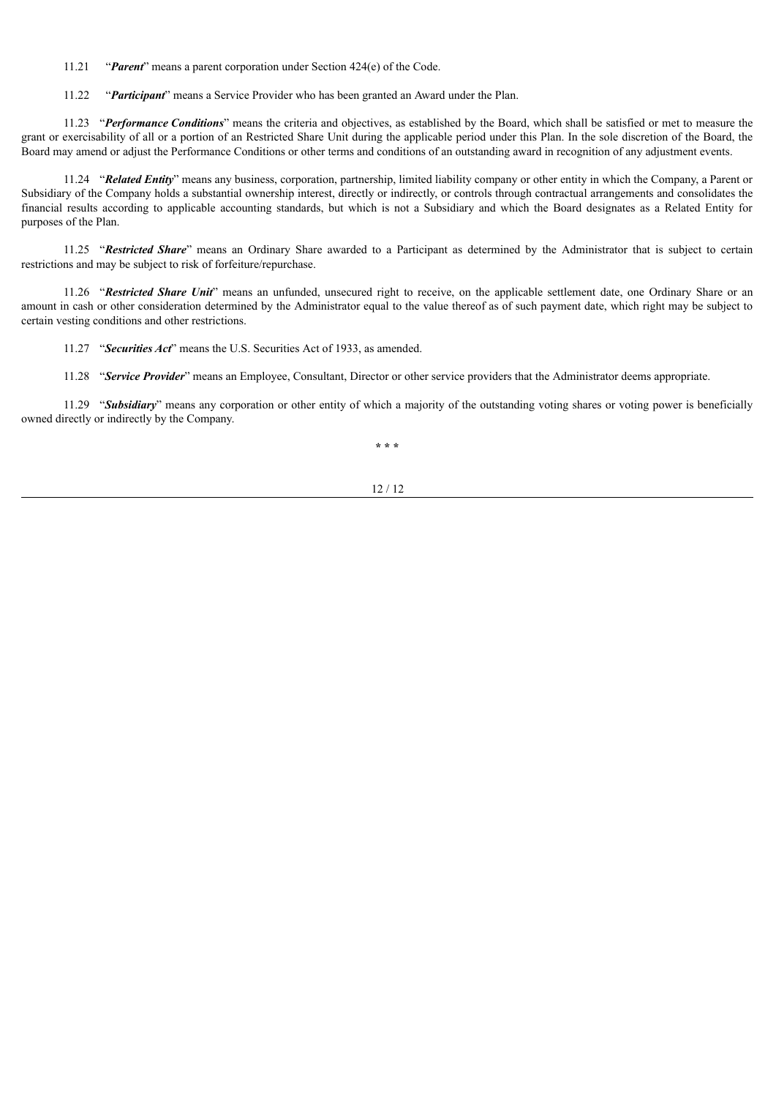11.21 "*Parent*" means a parent corporation under Section 424(e) of the Code.

11.22 "*Participant*" means a Service Provider who has been granted an Award under the Plan.

11.23 "*Performance Conditions*" means the criteria and objectives, as established by the Board, which shall be satisfied or met to measure the grant or exercisability of all or a portion of an Restricted Share Unit during the applicable period under this Plan. In the sole discretion of the Board, the Board may amend or adjust the Performance Conditions or other terms and conditions of an outstanding award in recognition of any adjustment events.

11.24 "*Related Entity*" means any business, corporation, partnership, limited liability company or other entity in which the Company, a Parent or Subsidiary of the Company holds a substantial ownership interest, directly or indirectly, or controls through contractual arrangements and consolidates the financial results according to applicable accounting standards, but which is not a Subsidiary and which the Board designates as a Related Entity for purposes of the Plan.

11.25 "*Restricted Share*" means an Ordinary Share awarded to a Participant as determined by the Administrator that is subject to certain restrictions and may be subject to risk of forfeiture/repurchase.

11.26 "*Restricted Share Unit*" means an unfunded, unsecured right to receive, on the applicable settlement date, one Ordinary Share or an amount in cash or other consideration determined by the Administrator equal to the value thereof as of such payment date, which right may be subject to certain vesting conditions and other restrictions.

11.27 "*Securities Act*" means the U.S. Securities Act of 1933, as amended.

11.28 "*Service Provider*" means an Employee, Consultant, Director or other service providers that the Administrator deems appropriate.

11.29 "*Subsidiary*" means any corporation or other entity of which a majority of the outstanding voting shares or voting power is beneficially owned directly or indirectly by the Company.

**\* \* \***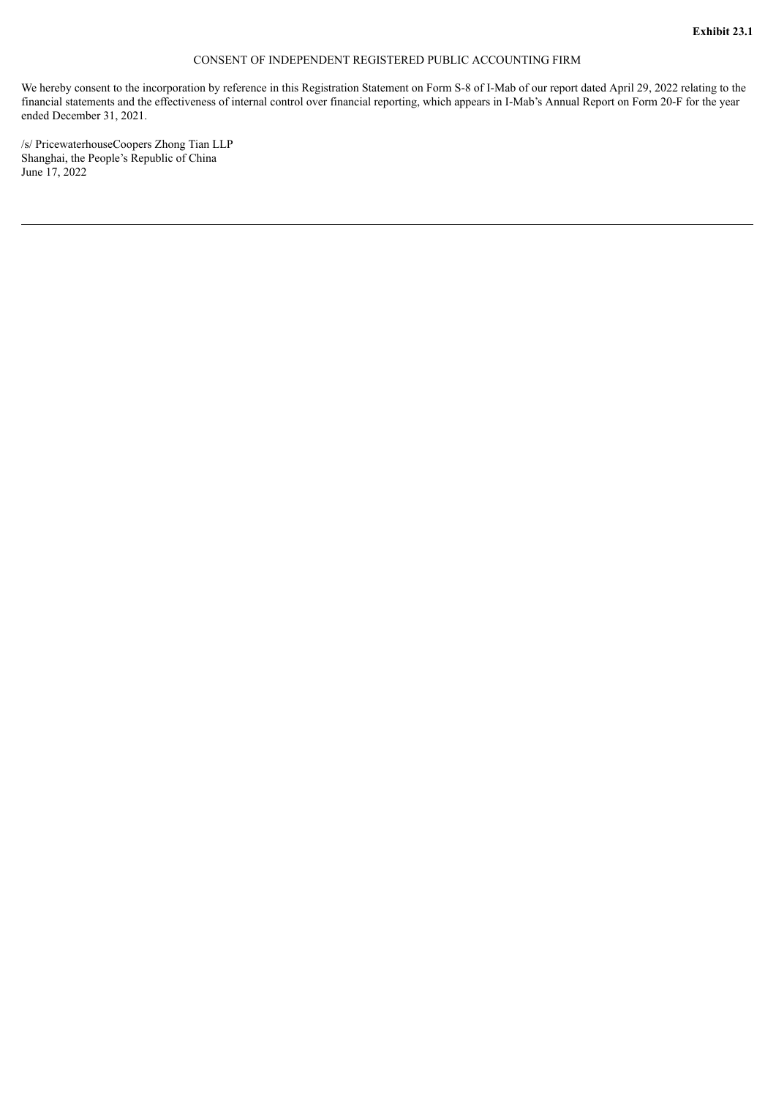#### CONSENT OF INDEPENDENT REGISTERED PUBLIC ACCOUNTING FIRM

<span id="page-24-0"></span>We hereby consent to the incorporation by reference in this Registration Statement on Form S-8 of I-Mab of our report dated April 29, 2022 relating to the financial statements and the effectiveness of internal control over financial reporting, which appears in I-Mab's Annual Report on Form 20-F for the year ended December 31, 2021.

/s/ PricewaterhouseCoopers Zhong Tian LLP Shanghai, the People's Republic of China June 17, 2022